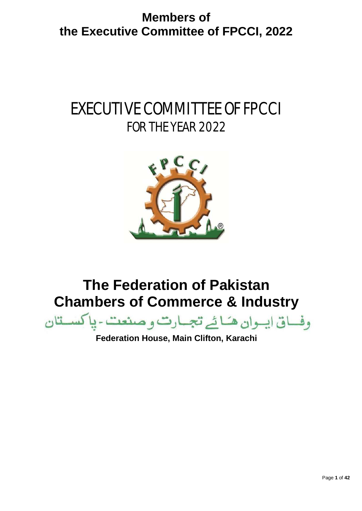# EXECUTIVE COMMITTEE OF FPCCI FOR THE YEAR 2022



# **The Federation of Pakistan Chambers of Commerce & Industry**



**Federation House, Main Clifton, Karachi**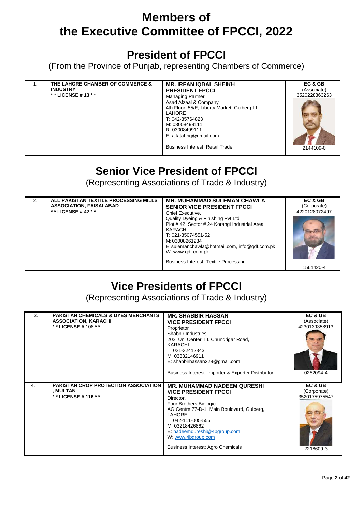### **President of FPCCI**

(From the Province of Punjab, representing Chambers of Commerce)

| THE LAHORE CHAMBER OF COMMERCE &<br><b>INDUSTRY</b><br>* * LICENSE # 13 * * | <b>MR. IRFAN IQBAL SHEIKH</b><br><b>PRESIDENT FPCCI</b><br><b>Managing Partner</b><br>Asad Afzaal & Company<br>4th Floor, 55/E, Liberty Market, Gulberg-III<br>LAHORE<br>T: 042-35764823<br>M: 03008499111<br>R: 03008499111<br>E: alfatahhq@gmail.com<br>Business Interest: Retail Trade | EC & GB<br>(Associate)<br>3520228363263<br>2144109-0 |
|-----------------------------------------------------------------------------|-------------------------------------------------------------------------------------------------------------------------------------------------------------------------------------------------------------------------------------------------------------------------------------------|------------------------------------------------------|
|-----------------------------------------------------------------------------|-------------------------------------------------------------------------------------------------------------------------------------------------------------------------------------------------------------------------------------------------------------------------------------------|------------------------------------------------------|

### **Senior Vice President of FPCCI**

(Representing Associations of Trade & Industry)

| 2. | ALL PAKISTAN TEXTILE PROCESSING MILLS<br><b>ASSOCIATION, FAISALABAD</b><br>* * LICENSE # 42 * * | <b>MR. MUHAMMAD SULEMAN CHAWLA</b><br><b>SENIOR VICE PRESIDENT FPCCI</b><br>Chief Executive,<br>Quality Dyeing & Finishing Pvt Ltd<br>Plot #42, Sector #24 Korangi Industrial Area<br>KARACHI<br>T: 021-35074551-52<br>M: 03008261234<br>E: sulemanchawla@hotmail.com, info@gdf.com.pk<br>W: www.gdf.com.pk | EC & GB<br>(Corporate)<br>4220128072497 |
|----|-------------------------------------------------------------------------------------------------|-------------------------------------------------------------------------------------------------------------------------------------------------------------------------------------------------------------------------------------------------------------------------------------------------------------|-----------------------------------------|
|    |                                                                                                 | <b>Business Interest: Textile Processing</b>                                                                                                                                                                                                                                                                | 1561420-4                               |

# **Vice Presidents of FPCCI**

(Representing Associations of Trade & Industry)

| 3. | <b>PAKISTAN CHEMICALS &amp; DYES MERCHANTS</b><br><b>ASSOCIATION, KARACHI</b><br>** LICENSE # 108 ** | <b>MR. SHABBIR HASSAN</b><br><b>VICE PRESIDENT FPCCI</b><br>Proprietor<br>Shabbir Industries<br>202, Uni Center, I.I. Chundrigar Road,<br>KARACHI<br>T: 021-32412343<br>M: 03332146911<br>E: shabbirhassan229@gmail.com<br>Business Interest: Importer & Exporter Distributor                              | EC & GB<br>(Associate)<br>4230139358913<br>0262094-4 |
|----|------------------------------------------------------------------------------------------------------|------------------------------------------------------------------------------------------------------------------------------------------------------------------------------------------------------------------------------------------------------------------------------------------------------------|------------------------------------------------------|
| 4. | <b>PAKISTAN CROP PROTECTION ASSOCIATION</b><br>, MULTAN<br>* * LICENSE # 116 * *                     | <b>MR. MUHAMMAD NADEEM QURESHI</b><br><b>VICE PRESIDENT FPCCI</b><br>Director,<br>Four Brothers Biologic<br>AG Centre 77-D-1, Main Boulovard, Gulberg,<br><b>LAHORE</b><br>T: 042-111-005-555<br>M: 03218426862<br>E: nadeemqureshi@4bgroup.com<br>W. www.4bgroup.com<br>Business Interest: Agro Chemicals | EC & GB<br>(Corporate)<br>3520175975547<br>2218609-3 |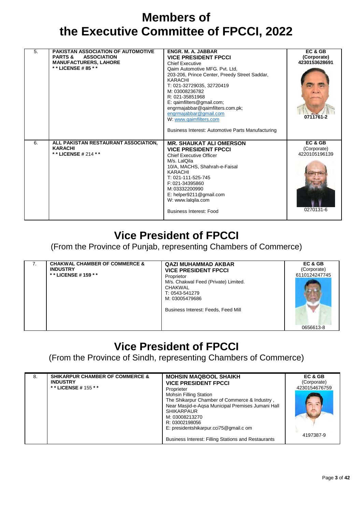| 5. | <b>PAKISTAN ASSOCIATION OF AUTOMOTIVE</b><br><b>PARTS &amp;</b><br><b>ASSOCIATION</b><br><b>MANUFACTURERS, LAHORE</b><br>* * LICENSE # 85 * * | <b>ENGR. M. A. JABBAR</b><br><b>VICE PRESIDENT FPCCI</b><br><b>Chief Executive</b><br>Qaim Automotive MFG. Pvt. Ltd,<br>203-206, Prince Center, Preedy Street Saddar,<br><b>KARACHI</b><br>T: 021-32729035, 32720419<br>M: 03008236782<br>R: 021-35851968<br>E: qaimfilters@gmail.com;<br>engrmajabbar@qaimfilters.com.pk;<br>engrmajabbar@gmail.com<br>W: www.qaimfilters.com<br>Business Interest: Automotive Parts Manufacturing | EC & GB<br>(Corporate)<br>4230153628691<br>0711761-2 |
|----|-----------------------------------------------------------------------------------------------------------------------------------------------|-------------------------------------------------------------------------------------------------------------------------------------------------------------------------------------------------------------------------------------------------------------------------------------------------------------------------------------------------------------------------------------------------------------------------------------|------------------------------------------------------|
| 6. | ALL PAKISTAN RESTAURANT ASSOCIATION,<br><b>KARACHI</b><br>**LICENSE#214 **                                                                    | <b>MR. SHAUKAT ALI OMERSON</b><br><b>VICE PRESIDENT FPCCI</b><br><b>Chief Executive Officer</b><br>M/s. LalQila<br>10/A, MACHS, Shahrah-e-Faisal<br>KARACHI<br>T: 021-111-525-745<br>F: 021-34395860<br>M: 03332200990<br>E: helper9211@gmail.com<br>W: www.lalqila.com<br>Business Interest: Food                                                                                                                                  | EC & GB<br>(Corporate)<br>4220105196139<br>0270131-6 |

### **Vice President of FPCCI**

(From the Province of Punjab, representing Chambers of Commerce)

| $\mathcal{L}$ | <b>CHAKWAL CHAMBER OF COMMERCE &amp;</b><br><b>INDUSTRY</b><br>* * LICENSE # 159 * * | <b>QAZI MUHAMMAD AKBAR</b><br><b>VICE PRESIDENT FPCCI</b><br>Proprietor<br>M/s. Chakwal Feed (Private) Limited.<br><b>CHAKWAL</b><br>T: 0543-541279<br>M: 03005479686 | EC & GB<br>(Corporate)<br>6110124247745 |
|---------------|--------------------------------------------------------------------------------------|-----------------------------------------------------------------------------------------------------------------------------------------------------------------------|-----------------------------------------|
|               |                                                                                      | Business Interest: Feeds, Feed Mill                                                                                                                                   | 0656613-8                               |

### **Vice President of FPCCI**

(From the Province of Sindh, representing Chambers of Commerce)

| 8. | <b>SHIKARPUR CHAMBER OF COMMERCE &amp;</b><br><b>INDUSTRY</b><br>* * LICENSE # 155 * * | <b>MOHSIN MAQBOOL SHAIKH</b><br><b>VICE PRESIDENT FPCCI</b><br>Proprieter<br><b>Mohsin Filling Station</b><br>The Shikarpur Chamber of Commerce & Industry,<br>Near Masjid-e-Agsa Municipal Premises Jumani Hall<br><b>SHIKARPAUR</b><br>M: 03008213270<br>R: 03002198056<br>E: presidentshikarpur.cci75@gmail.c om | EC & GB<br>(Corporate)<br>4230154676759 |
|----|----------------------------------------------------------------------------------------|---------------------------------------------------------------------------------------------------------------------------------------------------------------------------------------------------------------------------------------------------------------------------------------------------------------------|-----------------------------------------|
|    |                                                                                        | Business Interest: Filling Stations and Restaurants                                                                                                                                                                                                                                                                 | 4197387-9                               |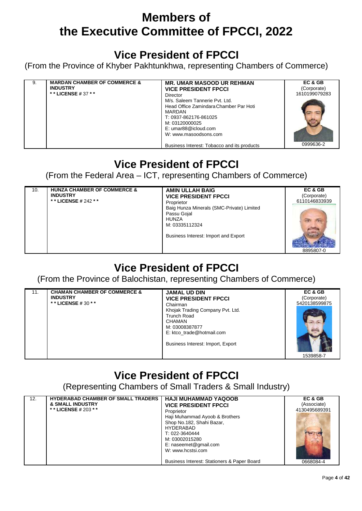### **Vice President of FPCCI**

(From the Province of Khyber Pakhtunkhwa, representing Chambers of Commerce)

| 9. | <b>MARDAN CHAMBER OF COMMERCE &amp;</b> | <b>MR. UMAR MASOOD UR REHMAN</b>                                                                                                                                                                                              | EC & GB       |
|----|-----------------------------------------|-------------------------------------------------------------------------------------------------------------------------------------------------------------------------------------------------------------------------------|---------------|
|    | <b>INDUSTRY</b>                         | <b>VICE PRESIDENT FPCCI</b>                                                                                                                                                                                                   | (Corporate)   |
|    | * * LICENSE # 37 * *                    | Director                                                                                                                                                                                                                      | 1610199079283 |
|    |                                         | M/s. Saleem Tannerie Pvt. Ltd.<br>Head Office Zamindara Chamber Par Hoti<br>MARDAN<br>T: 0937-862176-861025<br>M: 03120000025<br>E: umar88@icloud.com<br>W: www.masoodsons.com<br>Business Interest: Tobacco and its products | 0999636-2     |

### **Vice President of FPCCI**

(From the Federal Area – ICT, representing Chambers of Commerce)

| 10. | <b>HUNZA CHAMBER OF COMMERCE &amp;</b><br><b>INDUSTRY</b><br>* * LICENSE # 242 * * | <b>AMIN ULLAH BAIG</b><br><b>VICE PRESIDENT FPCCI</b><br>Proprietor<br>Baig Hunza Minerals (SMC-Private) Limited<br>Passu Gojal<br><b>HUNZA</b><br>M: 03335112324 | EC & GB<br>(Corporate)<br>6110146833939 |
|-----|------------------------------------------------------------------------------------|-------------------------------------------------------------------------------------------------------------------------------------------------------------------|-----------------------------------------|
|     |                                                                                    | Business Interest: Import and Export                                                                                                                              | 8895807-0                               |

# **Vice President of FPCCI**

(From the Province of Balochistan, representing Chambers of Commerce)

|  | 11. | <b>CHAMAN CHAMBER OF COMMERCE &amp;</b><br><b>INDUSTRY</b><br>* * LICENSE # 30 * * | <b>JAMAL UD DIN</b><br><b>VICE PRESIDENT FPCCI</b><br>Chairman<br>Khojak Trading Company Pvt. Ltd.<br><b>Trunch Road</b><br><b>CHAMAN</b><br>M: 03008387877<br>E: ktco trade@hotmail.com<br>Business Interest: Import, Export | EC & GB<br>(Corporate)<br>5420138599875<br>1539858-7 |
|--|-----|------------------------------------------------------------------------------------|-------------------------------------------------------------------------------------------------------------------------------------------------------------------------------------------------------------------------------|------------------------------------------------------|
|--|-----|------------------------------------------------------------------------------------|-------------------------------------------------------------------------------------------------------------------------------------------------------------------------------------------------------------------------------|------------------------------------------------------|

# **Vice President of FPCCI**

(Representing Chambers of Small Traders & Small Industry)

| 12.<br><b>&amp; SMALL INDUSTRY</b><br>* * LICENSE # 203 * * | <b>HYDERABAD CHAMBER OF SMALL TRADERS</b> | HAJI MUHAMMAD YAQOOB<br><b>VICE PRESIDENT FPCCI</b><br>Proprietor<br>Haji Muhammad Ayoob & Brothers<br>Shop No.182, Shahi Bazar,<br>HYDERABAD<br>T: 022-3640444<br>M: 03002015280<br>E: naseemet@gmail.com | EC & GB<br>(Associate)<br>4130495689391 |
|-------------------------------------------------------------|-------------------------------------------|------------------------------------------------------------------------------------------------------------------------------------------------------------------------------------------------------------|-----------------------------------------|
|                                                             |                                           | W: www.hcstsi.com                                                                                                                                                                                          |                                         |
|                                                             |                                           | Business Interest: Stationers & Paper Board                                                                                                                                                                | 0668084-4                               |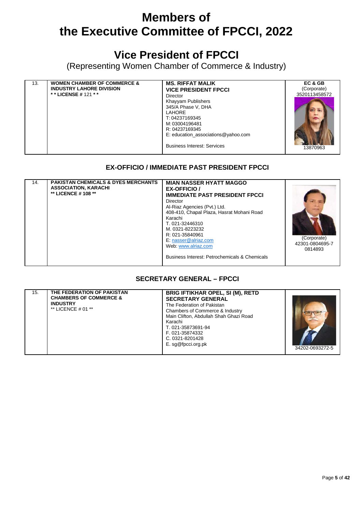### **Vice President of FPCCI**

(Representing Women Chamber of Commerce & Industry)

| 13. | <b>WOMEN CHAMBER OF COMMERCE &amp;</b><br><b>INDUSTRY LAHORE DIVISION</b><br>**LICENSE #121 ** | <b>MS. RIFFAT MALIK</b><br><b>VICE PRESIDENT FPCCI</b><br>Director<br>Khayyam Publishers<br>345/A Phase V, DHA<br><b>LAHORE</b><br>T: 04237169345<br>M: 03004196481<br>R: 04237169345<br>E: education associations@yahoo.com | EC & GB<br>(Corporate)<br>3520113458572 |
|-----|------------------------------------------------------------------------------------------------|------------------------------------------------------------------------------------------------------------------------------------------------------------------------------------------------------------------------------|-----------------------------------------|
|     |                                                                                                |                                                                                                                                                                                                                              |                                         |
|     |                                                                                                | <b>Business Interest: Services</b>                                                                                                                                                                                           | 13870963                                |

#### **EX-OFFICIO / IMMEDIATE PAST PRESIDENT FPCCI**

| 14. | <b>PAKISTAN CHEMICALS &amp; DYES MERCHANTS</b><br><b>ASSOCIATION, KARACHI</b><br>** LICENCE # 108 ** | <b>MIAN NASSER HYATT MAGGO</b><br><b>EX-OFFICIO</b><br><b>IMMEDIATE PAST PRESIDENT FPCCI</b><br>Director<br>Al-Riaz Agencies (Pvt.) Ltd.<br>408-410, Chapal Plaza, Hasrat Mohani Road<br>Karachi<br>T. 021-32446310<br>M. 0321-8223232<br>R: 021-35840961<br>E: nasser@alriaz.com<br>Web: www.alriaz.com<br>Business Interest: Petrochemicals & Chemicals | (Corporate)<br>42301-0804695-7<br>0814893 |
|-----|------------------------------------------------------------------------------------------------------|-----------------------------------------------------------------------------------------------------------------------------------------------------------------------------------------------------------------------------------------------------------------------------------------------------------------------------------------------------------|-------------------------------------------|
|     |                                                                                                      |                                                                                                                                                                                                                                                                                                                                                           |                                           |

#### **SECRETARY GENERAL – FPCCI**

| 15. | THE FEDERATION OF PAKISTAN<br><b>CHAMBERS OF COMMERCE &amp;</b><br><b>INDUSTRY</b><br>** LICENCE $#01$ ** | <b>BRIG IFTIKHAR OPEL, SI (M), RETD</b><br><b>SECRETARY GENERAL</b><br>The Federation of Pakistan<br>Chambers of Commerce & Industry<br>Main Clifton, Abdullah Shah Ghazi Road<br>Karachi<br>T. 021-35873691-94<br>F. 021-35874332<br>C. 0321-8201428<br>E. sg@fpcci.org.pk | 34202-0693272-5 |
|-----|-----------------------------------------------------------------------------------------------------------|-----------------------------------------------------------------------------------------------------------------------------------------------------------------------------------------------------------------------------------------------------------------------------|-----------------|
|-----|-----------------------------------------------------------------------------------------------------------|-----------------------------------------------------------------------------------------------------------------------------------------------------------------------------------------------------------------------------------------------------------------------------|-----------------|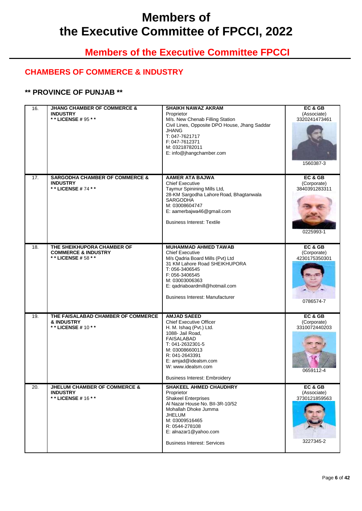### **Members of the Executive Committee FPCCI**

### **CHAMBERS OF COMMERCE & INDUSTRY**

#### **\*\* PROVINCE OF PUNJAB \*\***

| 16. | <b>JHANG CHAMBER OF COMMERCE &amp;</b><br><b>INDUSTRY</b><br>** LICENSE # 95 **    | <b>SHAIKH NAWAZ AKRAM</b><br>Proprietor<br>M/s. New Chenab Filling Station<br>Civil Lines, Opposite DPO House, Jhang Saddar<br><b>JHANG</b><br>T: 047-7621717<br>F: 047-7612371<br>M: 03218782011<br>E: info@jhangchamber.com                                          | EC & GB<br>(Associate)<br>3320241473461<br>1560387-3 |
|-----|------------------------------------------------------------------------------------|------------------------------------------------------------------------------------------------------------------------------------------------------------------------------------------------------------------------------------------------------------------------|------------------------------------------------------|
| 17. | <b>SARGODHA CHAMBER OF COMMERCE &amp;</b><br><b>INDUSTRY</b><br>** LICENSE #74 **  | <b>AAMER ATA BAJWA</b><br><b>Chief Executive</b><br>Taymur Spinining Mills Ltd,<br>28-KM Sargodha Lahore Road, Bhagtanwala<br>SARGODHA<br>M: 03008604747<br>E: aamerbajwa46@gmail.com<br><b>Business Interest: Textile</b>                                             | EC & GB<br>(Corporate)<br>3840391283311<br>0225993-1 |
| 18. | THE SHEIKHUPORA CHAMBER OF<br><b>COMMERCE &amp; INDUSTRY</b><br>** LICENSE # 58 ** | <b>MUHAMMAD AHMED TAWAB</b><br><b>Chief Executive</b><br>M/s Qadria Board Mills (Pvt) Ltd<br>31 KM Lahore Road SHEIKHUPORA<br>T: 056-3406545<br>F: 056-3406545<br>M: 03003006363<br>E: qadriaboardmill@hotmail.com<br><b>Business Interest: Manufacturer</b>           | EC&GB<br>(Corporate)<br>4230175350301<br>0786574-7   |
| 19. | THE FAISALABAD CHAMBER OF COMMERCE<br>& INDUSTRY<br>** LICENSE # 10 * *            | <b>AMJAD SAEED</b><br><b>Chief Executive Officer</b><br>H. M. Ishaq (Pvt.) Ltd.<br>1088- Jail Road,<br><b>FAISALABAD</b><br>T: 041-2632301-5<br>M: 03008660013<br>R: 041-2643391<br>E: amjad@idealsm.com<br>W: www.idealsm.com<br><b>Business Interest: Embroidery</b> | EC & GB<br>(Corporate)<br>3310072440203<br>0659112-4 |
| 20. | <b>JHELUM CHAMBER OF COMMERCE &amp;</b><br><b>INDUSTRY</b><br>** LICENSE # 16 **   | <b>SHAKEEL AHMED CHAUDHRY</b><br>Proprietor<br><b>Shakeel Enterprises</b><br>Al Nazar House No. Bll-3R-10/52<br>Mohallah Dhoke Jumma<br><b>JHELUM</b><br>M: 03009516465<br>R: 0544-278108<br>E: alnazar1@yahoo.com<br><b>Business Interest: Services</b>               | EC & GB<br>(Associate)<br>3730121859563<br>3227345-2 |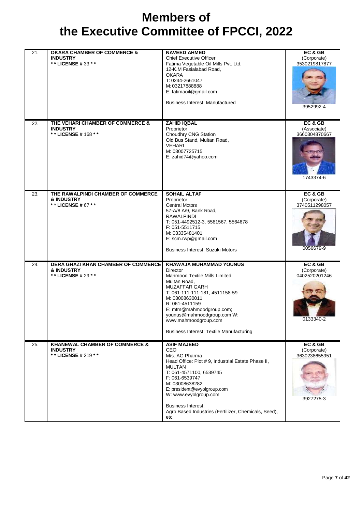| 21. | <b>OKARA CHAMBER OF COMMERCE &amp;</b><br><b>INDUSTRY</b><br>** LICENSE # 33 * *    | <b>NAVEED AHMED</b><br><b>Chief Executive Officer</b><br>Fatima Vegetable Oil Mills Pvt. Ltd,<br>12-K.M Fasialabad Road,<br><b>OKARA</b><br>T: 0244-2661047<br>M: 03217888888<br>E: fatimaoil@gmail.com<br><b>Business Interest: Manufactured</b>                                                                                     | EC & GB<br>(Corporate)<br>3530219817877<br>3952992-4  |
|-----|-------------------------------------------------------------------------------------|---------------------------------------------------------------------------------------------------------------------------------------------------------------------------------------------------------------------------------------------------------------------------------------------------------------------------------------|-------------------------------------------------------|
| 22. | THE VEHARI CHAMBER OF COMMERCE &<br><b>INDUSTRY</b><br>** LICENSE # 168 **          | <b>ZAHID IQBAL</b><br>Proprietor<br>Choudhry CNG Station<br>Old Bus Stand, Multan Road,<br><b>VEHARI</b><br>M: 03007725715<br>E: zahid74@yahoo.com                                                                                                                                                                                    | EC & GB<br>(Associate)<br>3660304870667<br>1743374-6  |
| 23. | THE RAWALPINDI CHAMBER OF COMMERCE<br>& INDUSTRY<br>** LICENSE # 67 **              | <b>SOHAIL ALTAF</b><br>Proprietor<br><b>Central Motors</b><br>57-A/8 A/9, Bank Road,<br><b>RAWALPINDI</b><br>T: 051-4492512-3, 5581567, 5564678<br>F: 051-5511715<br>M: 03335481401<br>E: scm.rwp@gmail.com<br><b>Business Interest: Suzuki Motors</b>                                                                                | EC & GB<br>(Corporate)<br>3740511298057<br>0056679-9  |
| 24. | <b>DERA GHAZI KHAN CHAMBER OF COMMERCE</b><br>& INDUSTRY<br>** LICENSE # 29 **      | KHAWAJA MUHAMMAD YOUNUS<br>Director<br>Mahmood Textile Mills Limited<br>Multan Road,<br><b>MUZAFFAR GARH</b><br>T: 061-111-111-181, 4511158-59<br>M: 03008630011<br>R: 061-4511159<br>E: mtm@mahmoodgroup.com;<br>younus@mahmoodgroup.com W:<br>www.mahmoodgroup.com<br><b>Business Interest: Textile Manufacturing</b>               | EC & GB<br>(Corporate)<br>0402520201246<br>U 133340-Z |
| 25. | <b>KHANEWAL CHAMBER OF COMMERCE &amp;</b><br><b>INDUSTRY</b><br>** LICENSE # 219 ** | <b>ASIF MAJEED</b><br>CEO<br>M/s. AG Pharma<br>Head Office: Plot #9, Industrial Estate Phase II,<br><b>MULTAN</b><br>T: 061-4571100, 6539745<br>F: 061-6539747<br>M: 03008638282<br>E: president@evyolgroup.com<br>W: www.evyolgroup.com<br><b>Business Interest:</b><br>Agro Based Industries (Fertilizer, Chemicals, Seed),<br>etc. | EC & GB<br>(Corporate)<br>3630238655951<br>3927275-3  |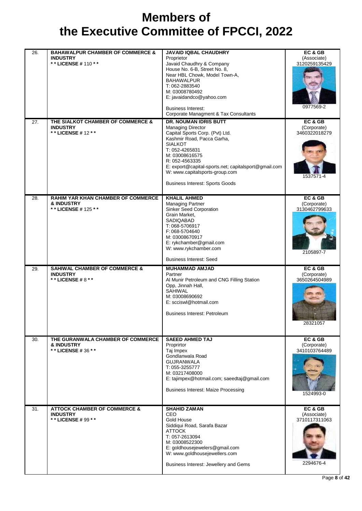| 26. | <b>BAHAWALPUR CHAMBER OF COMMERCE &amp;</b>                 | <b>JAVAID IQBAL CHAUDHRY</b>                                       | EC & GB                      |
|-----|-------------------------------------------------------------|--------------------------------------------------------------------|------------------------------|
|     | <b>INDUSTRY</b><br>** LICENSE # 110 **                      | Proprietor<br>Javaid Chaudhry & Company                            | (Associate)<br>3120259135429 |
|     |                                                             | House No. 6-B, Street No. 8,                                       |                              |
|     |                                                             | Near HBL Chowk, Model Town-A,<br><b>BAHAWALPUR</b>                 |                              |
|     |                                                             | T: 062-2883540                                                     |                              |
|     |                                                             | M: 03008780492                                                     |                              |
|     |                                                             | E: javaidandco@yahoo.com                                           |                              |
|     |                                                             | <b>Business Interest:</b><br>Corporate Managment & Tax Consultants | 0977569-2                    |
| 27. | THE SIALKOT CHAMBER OF COMMERCE &                           | DR. NOUMAN IDRIS BUTT                                              | EC & GB                      |
|     | <b>INDUSTRY</b>                                             | <b>Managing Director</b>                                           | (Corporate)                  |
|     | ** LICENSE # 12 * *                                         | Capital Sports Corp. (Pvt) Ltd.                                    | 3460322018279                |
|     |                                                             | Kashmir Road, Pacca Garha,<br><b>SIALKOT</b>                       |                              |
|     |                                                             | T: 052-4265831                                                     |                              |
|     |                                                             | M: 03008616575<br>R: 052-4563335                                   |                              |
|     |                                                             | E: export@capital-sports.net; capitalsport@gmail.com               |                              |
|     |                                                             | W: www.capitalsports-group.com                                     | 1537571-4                    |
|     |                                                             | <b>Business Interest: Sports Goods</b>                             |                              |
| 28. | RAHIM YAR KHAN CHAMBER OF COMMERCE                          | <b>KHALIL AHMED</b>                                                | EC & GB                      |
|     | <b>&amp; INDUSTRY</b>                                       | <b>Managing Partner</b>                                            | (Corporate)                  |
|     | ** LICENSE # 125 **                                         | Sinker Seed Corporation                                            | 3130462799633                |
|     |                                                             | Grain Market,<br>SADIQABAD                                         |                              |
|     |                                                             | T: 068-5706917                                                     |                              |
|     |                                                             | F: 068-5704640<br>M: 03008670917                                   |                              |
|     |                                                             | E: rykchamber@gmail.com                                            |                              |
|     |                                                             | W: www.rykchamber.com                                              | 2105897-7                    |
|     |                                                             | <b>Business Interest: Seed</b>                                     |                              |
| 29. | <b>SAHIWAL CHAMBER OF COMMERCE &amp;</b><br><b>INDUSTRY</b> | <b>MUHAMMAD AMJAD</b><br>Partner                                   | EC & GB<br>(Corporate)       |
|     | ** LICENSE #8**                                             | Al Munir Petroleum and CNG Filling Station                         | 3650264504989                |
|     |                                                             | Opp, Jinnah Hall,<br>SAHIWAL                                       |                              |
|     |                                                             | M: 03008690692                                                     |                              |
|     |                                                             | E: scciswl@hotmail.com                                             |                              |
|     |                                                             | <b>Business Interest: Petroleum</b>                                |                              |
|     |                                                             |                                                                    | 28321057                     |
|     |                                                             |                                                                    |                              |
| 30. | THE GURANWALA CHAMBER OF COMMERCE                           | <b>SAEED AHMED TAJ</b>                                             | EC & GB                      |
|     | & INDUSTRY<br>** LICENSE # 36 **                            | Proprirtor<br>Taj Impex                                            | (Corporate)<br>3410103764489 |
|     |                                                             | Gondlanwala Road                                                   |                              |
|     |                                                             | <b>GUJRANWALA</b><br>T: 055-3255777                                |                              |
|     |                                                             | M: 03217408000                                                     |                              |
|     |                                                             | E: tajimpex@hotmail.com; saeedtaj@gmail.com                        |                              |
|     |                                                             | <b>Business Interest: Maize Processing</b>                         |                              |
|     |                                                             |                                                                    | 1524993-0                    |
| 31. | <b>ATTOCK CHAMBER OF COMMERCE &amp;</b>                     | <b>SHAHID ZAMAN</b>                                                | EC&GB                        |
|     | <b>INDUSTRY</b><br>** LICENSE # 99 **                       | CEO<br>Gold House                                                  | (Associate)<br>3710117311063 |
|     |                                                             | Siddiqui Road, Sarafa Bazar                                        |                              |
|     |                                                             | <b>ATTOCK</b><br>T: 057-2613094                                    |                              |
|     |                                                             | M: 03008522300                                                     |                              |
|     |                                                             | E: goldhousejewelers@gmail.com                                     |                              |
|     |                                                             | W: www.goldhousejewellers.com                                      |                              |
|     |                                                             | Business Interest: Jewellery and Gems                              | 2294676-4                    |
|     |                                                             |                                                                    |                              |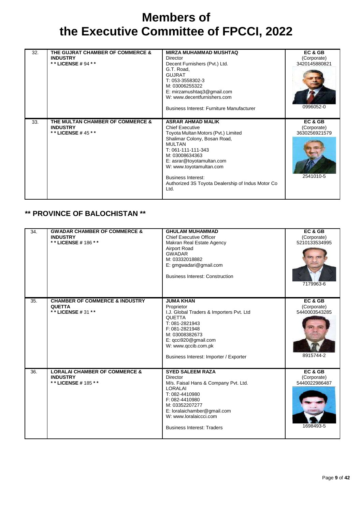| 32. | THE GUJRAT CHAMBER OF COMMERCE &<br><b>INDUSTRY</b><br>* * LICENSE # 94 * * | <b>MIRZA MUHAMMAD MUSHTAQ</b><br>Director<br>Decent Furnishers (Pvt.) Ltd.<br>G.T. Road,<br><b>GUJRAT</b><br>T: 053-3558302-3<br>M: 03006255322<br>E: mirzamushtaq3@gmail.com<br>W: www.decentfurnishers.com<br>Business Interest: Furniture Manufacturer                                                                            | EC & GB<br>(Corporate)<br>3420145880821<br>0996052-0 |
|-----|-----------------------------------------------------------------------------|--------------------------------------------------------------------------------------------------------------------------------------------------------------------------------------------------------------------------------------------------------------------------------------------------------------------------------------|------------------------------------------------------|
| 33. | THE MULTAN CHAMBER OF COMMERCE &<br><b>INDUSTRY</b><br>* * LICENSE # 45 * * | <b>ASRAR AHMAD MALIK</b><br><b>Chief Executive</b><br>Toyota Multan Motors (Pvt.) Limited<br>Shalimar Colony, Bosan Road,<br><b>MULTAN</b><br>T: 061-111-111-343<br>M: 03008634363<br>E: asrar@toyotamultan.com<br>W: www.toyotamultan.com<br><b>Business Interest:</b><br>Authorized 3S Toyota Dealership of Indus Motor Co<br>Ltd. | EC & GB<br>(Corporate)<br>3630256921579<br>2541010-5 |

### **\*\* PROVINCE OF BALOCHISTAN \*\***

| 34. | <b>GWADAR CHAMBER OF COMMERCE &amp;</b><br><b>INDUSTRY</b><br>** LICENSE # 186 **  | <b>GHULAM MUHAMMAD</b><br><b>Chief Executive Officer</b><br>Makran Real Estate Agency<br><b>Airport Road</b><br><b>GWADAR</b><br>M: 03332018882<br>E: gmgwadari@gmail.com<br><b>Business Interest: Construction</b>                               | EC & GB<br>(Corporate)<br>5210133534995<br>7179963-6 |
|-----|------------------------------------------------------------------------------------|---------------------------------------------------------------------------------------------------------------------------------------------------------------------------------------------------------------------------------------------------|------------------------------------------------------|
| 35. | <b>CHAMBER OF COMMERCE &amp; INDUSTRY</b><br><b>QUETTA</b><br>** LICENSE # 31 **   | <b>JUMA KHAN</b><br>Proprietor<br>I.J. Global Traders & Importers Pvt. Ltd<br><b>QUETTA</b><br>T: 081-2821943<br>F: 081-2821948<br>M: 03008382673<br>E: qcci920@gmail.com<br>W: www.qccib.com.pk<br>Business Interest: Importer / Exporter        | EC & GB<br>(Corporate)<br>5440003543285<br>8915744-2 |
| 36. | <b>LORALAI CHAMBER OF COMMERCE &amp;</b><br><b>INDUSTRY</b><br>** LICENSE # 185 ** | <b>SYED SALEEM RAZA</b><br>Director<br>M/s. Faisal Hans & Company Pvt. Ltd.<br><b>LORALAI</b><br>T: 082-4410980<br>F: 082-4410980<br>M: 03352207277<br>E: loralaichamber@gmail.com<br>W: www.loralaiccci.com<br><b>Business Interest: Traders</b> | EC & GB<br>(Corporate)<br>5440022986487<br>1698493-5 |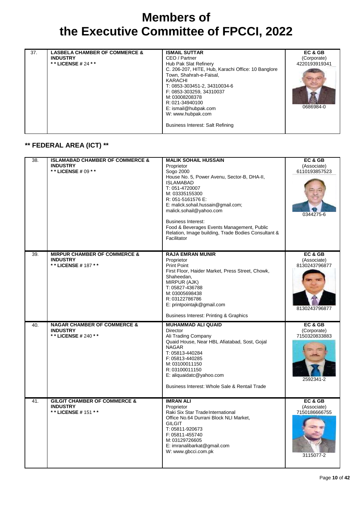| 37. | <b>LASBELA CHAMBER OF COMMERCE &amp;</b><br><b>INDUSTRY</b><br>* * LICENSE # 24 * * | <b>ISMAIL SUTTAR</b><br>CEO / Partner<br>Hub Pak Slat Refinery<br>C. 206-207, HITE, Hub, Karachi Office: 10 Banglore<br>Town, Shahrah-e-Faisal,<br>KARACHI<br>T: 0853-303451-2, 34310034-6<br>F: 0853-303259, 34310037<br>M: 03008208378<br>R: 021-34940100<br>E: ismail@hubpak.com<br>W: www.hubpak.com<br><b>Business Interest: Salt Refining</b> | EC & GB<br>(Corporate)<br>4220193919341<br>0686984-0 |
|-----|-------------------------------------------------------------------------------------|-----------------------------------------------------------------------------------------------------------------------------------------------------------------------------------------------------------------------------------------------------------------------------------------------------------------------------------------------------|------------------------------------------------------|
|-----|-------------------------------------------------------------------------------------|-----------------------------------------------------------------------------------------------------------------------------------------------------------------------------------------------------------------------------------------------------------------------------------------------------------------------------------------------------|------------------------------------------------------|

### **\*\* FEDERAL AREA (ICT) \*\***

| 38. | <b>ISLAMABAD CHAMBER OF COMMERCE &amp;</b><br><b>INDUSTRY</b><br>** LICENSE # 09 * * | <b>MALIK SOHAIL HUSSAIN</b><br>Proprietor<br>Sogo 2000<br>House No. 5, Power Avenu, Sector-B, DHA-II,<br><b>ISLAMABAD</b><br>T: 051-4720007<br>M: 03335155300<br>R: 051-5161576 E:<br>E: malick.sohail.hussain@gmail.com;<br>malick.sohail@yahoo.com<br><b>Business Interest:</b><br>Food & Beverages Events Management, Public<br>Relation, Image building, Trade Bodies Consultant &<br>Facilitator | EC & GB<br>(Associate)<br>6110193857523<br>0344275-6     |
|-----|--------------------------------------------------------------------------------------|-------------------------------------------------------------------------------------------------------------------------------------------------------------------------------------------------------------------------------------------------------------------------------------------------------------------------------------------------------------------------------------------------------|----------------------------------------------------------|
| 39. | <b>MIRPUR CHAMBER OF COMMERCE &amp;</b><br><b>INDUSTRY</b><br>** LICENSE # 187 **    | <b>RAJA EMRAN MUNIR</b><br>Proprietor<br><b>Print Point</b><br>First Floor, Haider Market, Press Street, Chowk,<br>Shaheedan,<br>MIRPUR (AJK)<br>T: 05827-436788<br>M: 03005698438<br>R: 03122786786<br>E: printpointajk@gmail.com<br>Business Interest: Printing & Graphics                                                                                                                          | EC & GB<br>(Associate)<br>8130243796877<br>8130243796877 |
| 40. | <b>NAGAR CHAMBER OF COMMERCE &amp;</b><br><b>INDUSTRY</b><br>** LICENSE # 240 **     | <b>MUHAMMAD ALI QUAID</b><br><b>Director</b><br>Ali Trading Company<br>Quaid House, Near HBL Afiatabad, Sost, Gojal<br><b>NAGAR</b><br>T: 05813-440284<br>F: 05813-440285<br>M: 03100011150<br>R: 03100011150<br>E: aliquaidatc@yahoo.com<br>Business Interest: Whole Sale & Rentail Trade                                                                                                            | EC & GB<br>(Corporate)<br>7150320833883<br>2592341-2     |
| 41. | <b>GILGIT CHAMBER OF COMMERCE &amp;</b><br><b>INDUSTRY</b><br>** LICENSE # 151 **    | <b>IMRAN ALI</b><br>Proprietor<br>Raki Six Star Trade International<br>Office No.64 Durrani Block NLI Market,<br><b>GILGIT</b><br>T: 05811-920673<br>F: 05811-455740<br>M: 03129726605<br>E: imranalibarkat@gmail.com<br>W: www.gbcci.com.pk                                                                                                                                                          | EC & GB<br>(Associate)<br>7150186666755<br>3115077-2     |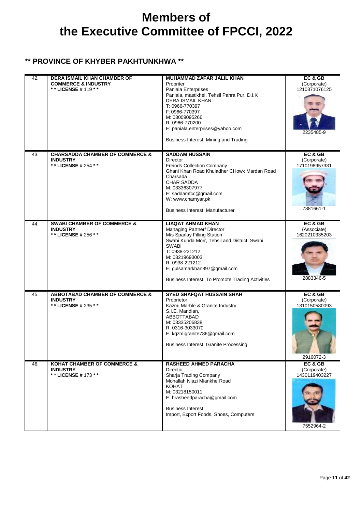#### **\*\* PROVINCE OF KHYBER PAKHTUNKHWA \*\***

| 42. | <b>DERA ISMAIL KHAN CHAMBER OF</b><br><b>COMMERCE &amp; INDUSTRY</b><br>**LICENSE#119 ** | <b>MUHAMMAD ZAFAR JALIL KHAN</b><br>Propriter<br>Paniala Enterprises<br>Paniala, mastikhel, Tehsil Pahra Pur, D.I.K<br><b>DERA ISMAIL KHAN</b><br>T: 0966-770397<br>F: 0966-770397<br>M: 03009095266<br>R: 0966-770200<br>E: paniala.enterprises@yahoo.com<br>Business Interest: Mining and Trading | EC & GB<br>(Corporate)<br>1210371076125<br>2235485-9 |
|-----|------------------------------------------------------------------------------------------|-----------------------------------------------------------------------------------------------------------------------------------------------------------------------------------------------------------------------------------------------------------------------------------------------------|------------------------------------------------------|
| 43. | <b>CHARSADDA CHAMBER OF COMMERCE &amp;</b><br><b>INDUSTRY</b><br>** LICENSE # 254 **     | <b>SADDAM HUSSAIN</b><br><b>Director</b><br>Freinds Collection Company<br>Ghani Khan Road Khuladher CHowk Mardan Road<br>Charsada<br><b>CHAR SADDA</b><br>M: 03336307977<br>E: saddamfcc@gmail.com<br>W: www.chamyar.pk<br><b>Business Interest: Manufacturer</b>                                   | EC & GB<br>(Corporate)<br>1710198957331<br>7881661-1 |
| 44. | <b>SWABI CHAMBER OF COMMERCE &amp;</b><br><b>INDUSTRY</b><br>** LICENSE # 256 **         | <b>LIAQAT AHMAD KHAN</b><br>Managing Partner/ Director<br>M/s Sparlay Filling Station<br>Swabi Kunda Morr, Tehsil and District: Swabi<br><b>SWABI</b><br>T: 0938-221212<br>M: 03219693003<br>R: 0938-221212<br>E: gulsamarkhan897@gmail.com<br>Business Interest: To Promote Trading Activities     | EC & GB<br>(Associate)<br>1620210335203<br>2883346-5 |
| 45. | <b>ABBOTABAD CHAMBER OF COMMERCE &amp;</b><br><b>INDUSTRY</b><br>* * LICENSE # 235 * *   | <b>SYED SHAFQAT HUSSAIN SHAH</b><br>Proprietor<br>Kazmi Marble & Granite Industry<br>S.I.E. Mandian,<br>ABBOTTABAD<br>M: 03335206838<br>R: 0316-3033070<br>E: kqzmigranite786@gmail.com<br><b>Business Interest: Granite Processing</b>                                                             | EC & GB<br>(Corporate)<br>1310150580093<br>2916072-3 |
| 46. | <b>KOHAT CHAMBER OF COMMERCE &amp;</b><br><b>INDUSTRY</b><br>** LICENSE # 173 **         | RASHEED AHMED PARACHA<br><b>Director</b><br>Sharja Trading Company<br>Mohallah Niazi Miankhel Road<br><b>KOHAT</b><br>M: 03218150011<br>E: hrasheedparacha@gmail.com<br><b>Business Interest:</b><br>Import, Export Foods, Shoes, Computers                                                         | EC & GB<br>(Corporate)<br>1430119403227<br>7552964-2 |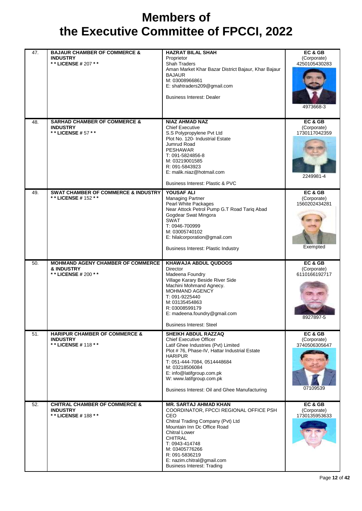| 47. | <b>BAJAUR CHAMBER OF COMMERCE &amp;</b><br><b>INDUSTRY</b>                         | <b>HAZRAT BILAL SHAH</b><br>Proprietor                                                                                                                                                                                                                                                                                           | EC & GB<br>(Corporate)                              |
|-----|------------------------------------------------------------------------------------|----------------------------------------------------------------------------------------------------------------------------------------------------------------------------------------------------------------------------------------------------------------------------------------------------------------------------------|-----------------------------------------------------|
|     | ** LICENSE # 207 **                                                                | <b>Shah Traders</b><br>Aman Market Khar Bazar District Bajaur, Khar Bajaur<br><b>BAJAUR</b><br>M: 03008966861<br>E: shahtraders209@gmail.com                                                                                                                                                                                     | 4250105430283                                       |
|     |                                                                                    | <b>Business Interest: Dealer</b>                                                                                                                                                                                                                                                                                                 | 4973668-3                                           |
| 48. | <b>SARHAD CHAMBER OF COMMERCE &amp;</b><br><b>INDUSTRY</b><br>** LICENSE # 57 **   | <b>NIAZ AHMAD NAZ</b><br><b>Chief Executive</b><br>S.S Polypropylene Pvt Ltd<br>Plot No. 120- Industrial Estate<br>Jumrud Road<br><b>PESHAWAR</b><br>T: 091-5824856-8<br>M: 03219001585                                                                                                                                          | EC & GB<br>(Corporate)<br>1730117042359             |
|     |                                                                                    | R: 091-5843923<br>E: malik.niaz@hotmail.com<br>Business Interest: Plastic & PVC                                                                                                                                                                                                                                                  | 2249981-4                                           |
| 49. | <b>SWAT CHAMBER OF COMMERCE &amp; INDUSTRY</b><br>** LICENSE # 152 **              | <b>YOUSAF ALI</b><br>Managing Partner<br>Pearl White Packages<br>Near Attock Petrol Pump G.T Road Tariq Abad<br>Gogdear Swat Mingora<br>SWAT<br>T: 0946-700999<br>M: 03005740102<br>E: hilalcorporation@gmail.com<br><b>Business Interest: Plastic Industry</b>                                                                  | EC& GB<br>(Corporate)<br>1560202434281<br>Exempted  |
| 50. | <b>MOHMAND AGENY CHAMBER OF COMMERCE</b><br>& INDUSTRY<br>** LICENSE # 200 **      | <b>KHAWAJA ABDUL QUDOOS</b><br>Director<br>Madeena Foundry<br>Village Karary Beside River Side<br>Machini Mohmand Agnecy.<br>MOHMAND AGENCY<br>T: 091-9225440<br>M: 03135454863<br>R: 03008599179<br>E: madeena.foundry@gmail.com<br><b>Business Interest: Steel</b>                                                             | EC& GB<br>(Corporate)<br>6110166192717<br>8927897-5 |
| 51. | <b>HARIPUR CHAMBER OF COMMERCE &amp;</b><br><b>INDUSTRY</b><br>** LICENSE # 118 ** | <b>SHEIKH ABDUL RAZZAQ</b><br><b>Chief Executive Officer</b><br>Latif Ghee Industries (Pvt) Limited<br>Plot #76, Phase-IV, Hattar Industrial Estate<br><b>HARIPUR</b><br>T: 051-444-7084, 0514448684<br>M: 03218506084<br>E: info@latifgroup.com.pk<br>W: www.latifgroup.com.pk<br>Business Interest: Oil and Ghee Manufacturing | EC & GB<br>(Corporate)<br>3740506305647<br>07109539 |
| 52. | <b>CHITRAL CHAMBER OF COMMERCE &amp;</b><br><b>INDUSTRY</b><br>** LICENSE # 188 ** | <b>MR. SARTAJ AHMAD KHAN</b><br>COORDINATOR, FPCCI REGIONAL OFFICE PSH<br>CEO<br>Chitral Trading Company (Pvt) Ltd<br>Mountain Inn Dc Office Road<br><b>Chitral Lower</b><br><b>CHITRAL</b><br>T: 0943-414748<br>M: 03405776266<br>R: 091-5836219<br>E: nazim.chitral@gmail.com<br><b>Business Interest: Trading</b>             | EC & GB<br>(Corporate)<br>1730135953633             |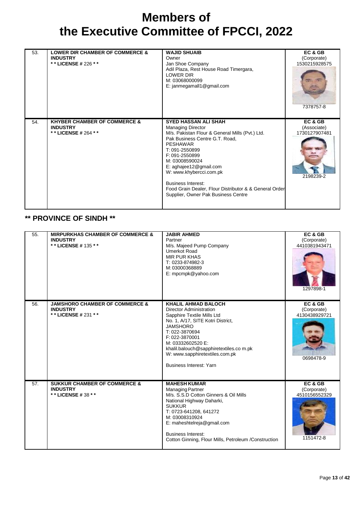| 53. | <b>LOWER DIR CHAMBER OF COMMERCE &amp;</b><br><b>INDUSTRY</b><br>* * LICENSE # 226 * * | <b>WAJID SHUAIB</b><br>Owner<br>Jan Shoe Company<br>Adil Plaza, Rest House Road Timergara,<br>LOWER DIR<br>M: 03068000099<br>E: janmegamall1@gmail.com                                                                                                                                                                                                                                            | EC & GB<br>(Corporate)<br>1530215928575<br>7378757-8 |
|-----|----------------------------------------------------------------------------------------|---------------------------------------------------------------------------------------------------------------------------------------------------------------------------------------------------------------------------------------------------------------------------------------------------------------------------------------------------------------------------------------------------|------------------------------------------------------|
| 54. | <b>KHYBER CHAMBER OF COMMERCE &amp;</b><br><b>INDUSTRY</b><br>* * LICENSE # 264 * *    | <b>SYED HASSAN ALI SHAH</b><br>Managing Director<br>M/s. Pakistan Flour & General Mills (Pvt.) Ltd.<br>Pak Business Centre G.T. Road,<br><b>PESHAWAR</b><br>T: 091-2550899<br>F: 091-2550899<br>M: 03008590024<br>E: aghajee12@gmail.com<br>W: www.khybercci.com.pk<br><b>Business Interest:</b><br>Food Grain Dealer, Flour Distributor & & General Order<br>Supplier, Owner Pak Business Centre | EC & GB<br>(Associate)<br>1730127907481<br>2198239-2 |

#### **\*\* PROVINCE OF SINDH \*\***

| 55. | <b>MIRPURKHAS CHAMBER OF COMMERCE &amp;</b><br><b>INDUSTRY</b><br>** LICENSE # 135 ** | <b>JABIR AHMED</b><br>Partner<br>M/s. Majeed Pump Company<br><b>Umerkot Road</b><br><b>MIR PUR KHAS</b><br>T: 0233-874982-3<br>M: 03000368889<br>E: mpcmpk@yahoo.com                                                                                                                                                       | EC & GB<br>(Corporate)<br>4410381943471<br>1297898-1 |
|-----|---------------------------------------------------------------------------------------|----------------------------------------------------------------------------------------------------------------------------------------------------------------------------------------------------------------------------------------------------------------------------------------------------------------------------|------------------------------------------------------|
| 56. | <b>JAMSHORO CHAMBER OF COMMERCE &amp;</b><br><b>INDUSTRY</b><br>** LICENSE # 231 **   | <b>KHALIL AHMAD BALOCH</b><br><b>Director Administration</b><br>Sapphire Textile Mills Ltd<br>No. 1, A/17, SITE Kotri District,<br><b>JAMSHORO</b><br>T: 022-3870694<br>F: 022-3870001<br>M: 03332602520 E:<br>khalil.balouch@sapphiretextiles.co m.pk<br>W: www.sapphiretextiles.com.pk<br><b>Business Interest: Yarn</b> | EC & GB<br>(Corporate)<br>4130438929721<br>0698478-9 |
| 57. | <b>SUKKUR CHAMBER OF COMMERCE &amp;</b><br><b>INDUSTRY</b><br>** LICENSE # 38 * *     | <b>MAHESH KUMAR</b><br><b>Managing Partner</b><br>M/s. S.S.D Cotton Ginners & Oil Mills<br>National Highway Daharki,<br><b>SUKKUR</b><br>T: 0723-641208, 641272<br>M: 03008310924<br>E: maheshtelreja@gmail.com<br><b>Business Interest:</b><br>Cotton Ginning, Flour Mills, Petroleum /Construction                       | EC & GB<br>(Corporate)<br>4510156552329<br>1151472-8 |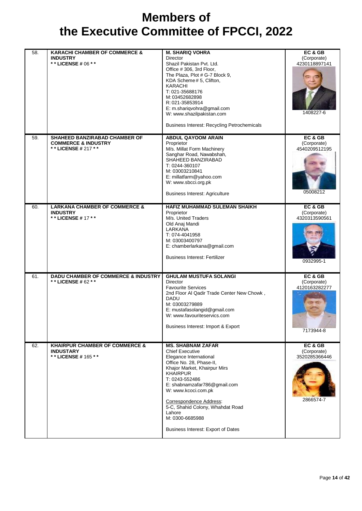| 58. | <b>KARACHI CHAMBER OF COMMERCE &amp;</b><br><b>INDUSTRY</b><br>** LICENSE # 06 * *     | <b>M. SHARIQ VOHRA</b><br>Director<br>Shazil Pakistan Pvt. Ltd.<br>Office #306, 3rd Floor,<br>The Plaza, Plot # G-7 Block 9,<br>KDA Scheme# 5, Clifton,<br><b>KARACHI</b><br>T: 021-35688176<br>M: 03452682898<br>R: 021-35853914<br>E: m.shariqvohra@gmail.com<br>W: www.shazilpakistan.com<br><b>Business Interest: Recycling Petrochemicals</b>                     | EC & GB<br>(Corporate)<br>4230118897141<br>1408227-6 |
|-----|----------------------------------------------------------------------------------------|------------------------------------------------------------------------------------------------------------------------------------------------------------------------------------------------------------------------------------------------------------------------------------------------------------------------------------------------------------------------|------------------------------------------------------|
| 59. | SHAHEED BANZIRABAD CHAMBER OF<br><b>COMMERCE &amp; INDUSTRY</b><br>** LICENSE # 217 ** | <b>ABDUL QAYOOM ARAIN</b><br>Proprietor<br>M/s. Millat Form Machinery<br>Sanghar Road, Nawabshah,<br>SHAHEED BANZIRABAD<br>T: 0244-360107<br>M: 03003210841<br>E: millatfarm@yahoo.com<br>W: www.sbcci.org.pk<br><b>Business Interest: Agriculture</b>                                                                                                                 | EC & GB<br>(Corporate)<br>4540209512195<br>05008212  |
| 60. | <b>LARKANA CHAMBER OF COMMERCE &amp;</b><br><b>INDUSTRY</b><br>* * LICENSE # 17 * *    | <b>HAFIZ MUHAMMAD SULEMAN SHAIKH</b><br>Proprietor<br>M/s. United Traders<br>Old Anaj Mandi<br>LARKANA<br>T: 074-4041958<br>M: 03003400797<br>E: chamberlarkana@gmail.com<br><b>Business Interest: Fertilizer</b>                                                                                                                                                      | EC & GB<br>(Corporate)<br>4320313590561<br>0932995-1 |
| 61. | <b>DADU CHAMBER OF COMMERCE &amp; INDUSTRY</b><br>* * LICENSE # 62 * *                 | <b>GHULAM MUSTUFA SOLANGI</b><br><b>Director</b><br><b>Favourite Services</b><br>2nd Floor Al Qadir Trade Center New Chowk,<br><b>DADU</b><br>M: 03003279889<br>E: mustafasolangid@gmail.com<br>W: www.favouriteservics.com<br>Business Interest: Import & Export                                                                                                      | EC & GB<br>(Corporate)<br>4120163282277<br>7173944-8 |
| 62. | <b>KHAIRPUR CHAMBER OF COMMERCE &amp;</b><br><b>INDUSTARY</b><br>** LICENSE # 165 **   | <b>MS. SHABNAM ZAFAR</b><br><b>Chief Executive</b><br>Elegance International<br>Office No. 28, Phase-II,<br>Khajor Market, Khairpur Mirs<br><b>KHAIRPUR</b><br>T: 0243-552486<br>E: shabnamzafar786@gmail.com<br>W: www.kcoci.com.pk<br>Correspondence Address:<br>5-C, Shahid Colony, Whahdat Road<br>Lahore<br>M: 0300-6685988<br>Business Interest: Export of Dates | EC & GB<br>(Corporate)<br>3520285366446<br>2866574-7 |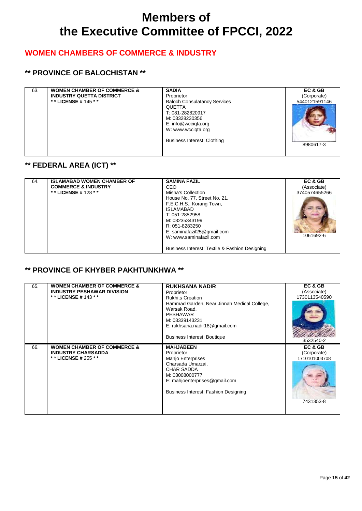### **WOMEN CHAMBERS OF COMMERCE & INDUSTRY**

### **\*\* PROVINCE OF BALOCHISTAN \*\***

| 63. | <b>WOMEN CHAMBER OF COMMERCE &amp;</b><br><b>INDUSTRY QUETTA DISTRICT</b><br>* * LICENSE # 145 * * | <b>SADIA</b><br>Proprietor<br><b>Baloch Consulatancy Services</b><br><b>QUETTA</b><br>T: 081-282820917<br>M: 03328230356<br>E: info@wcciqta.org<br>W: www.wccigta.org<br>Business Interest: Clothing | EC & GB<br>(Corporate)<br>5440121591146<br>8980617-3 |
|-----|----------------------------------------------------------------------------------------------------|------------------------------------------------------------------------------------------------------------------------------------------------------------------------------------------------------|------------------------------------------------------|
|-----|----------------------------------------------------------------------------------------------------|------------------------------------------------------------------------------------------------------------------------------------------------------------------------------------------------------|------------------------------------------------------|

### **\*\* FEDERAL AREA (ICT) \*\***

| 64. | <b>ISLAMABAD WOMEN CHAMBER OF</b><br><b>COMMERCE &amp; INDUSTRY</b><br>**LICENSE #128 ** | <b>SAMINA FAZIL</b><br>CEO<br>Misha's Collection<br>House No. 77, Street No. 21,<br>F.E.C.H.S., Korang Town,<br><b>ISLAMABAD</b><br>T: 051-2852958<br>M: 03235343199<br>R: 051-8283250<br>E: saminafazil25@gmail.com<br>W: www.saminafazil.com | EC & GB<br>(Associate)<br>3740574655266<br>1061692-6 |
|-----|------------------------------------------------------------------------------------------|------------------------------------------------------------------------------------------------------------------------------------------------------------------------------------------------------------------------------------------------|------------------------------------------------------|
|     |                                                                                          | Business Interest: Textile & Fashion Designing                                                                                                                                                                                                 |                                                      |

#### **\*\* PROVINCE OF KHYBER PAKHTUNKHWA \*\***

| 65. | <b>WOMEN CHAMBER OF COMMERCE &amp;</b><br><b>INDUSTRY PESHAWAR DIVISION</b><br>* * LICENSE # 143 * * | <b>RUKHSANA NADIR</b><br>Proprietor<br>Rukhi, s Creation<br>Hammad Garden, Near Jinnah Medical College,<br>Warsak Road.<br><b>PESHAWAR</b><br>M: 03339143231<br>E: rukhsana.nadir18@gmail.com<br><b>Business Interest: Boutique</b> | EC & GB<br>(Associate)<br>1730113540590<br>3532540-2 |
|-----|------------------------------------------------------------------------------------------------------|-------------------------------------------------------------------------------------------------------------------------------------------------------------------------------------------------------------------------------------|------------------------------------------------------|
| 66. | <b>WOMEN CHAMBER OF COMMERCE &amp;</b><br><b>INDUSTRY CHARSADDA</b><br>* * LICENSE # 255 * *         | <b>MAHJABEEN</b><br>Proprietor<br><b>Mahjo Enterprises</b><br>Charsada Umarzai,<br><b>CHAR SADDA</b><br>M: 03008000777<br>E: mahjoenterprises@gmail.com<br>Business Interest: Fashion Designing                                     | EC & GB<br>(Corporate)<br>1710101003708<br>7431353-8 |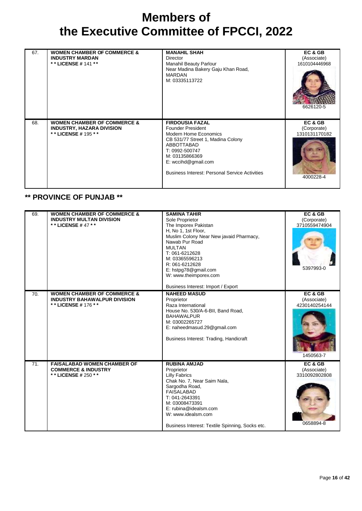| 67. | <b>WOMEN CHAMBER OF COMMERCE &amp;</b><br><b>INDUSTRY MARDAN</b><br>* * LICENSE # 141 * *           | <b>MANAHIL SHAH</b><br>Director<br>Manahil Beauty Parlour<br>Near Madina Bakery Gaju Khan Road,<br><b>MARDAN</b><br>M: 03335113722                                                                                                                   | EC & GB<br>(Associate)<br>1610104446968<br>6626120-5 |
|-----|-----------------------------------------------------------------------------------------------------|------------------------------------------------------------------------------------------------------------------------------------------------------------------------------------------------------------------------------------------------------|------------------------------------------------------|
| 68. | <b>WOMEN CHAMBER OF COMMERCE &amp;</b><br><b>INDUSTRY, HAZARA DIVISION</b><br>* * LICENSE # 195 * * | <b>FIRDOUSIA FAZAL</b><br><b>Founder President</b><br>Modern Home Economics<br>CB 531/77 Street 1, Madina Colony<br>ABBOTTABAD<br>T: 0992-500747<br>M: 03135866369<br>$E:$ wccihd@gmail.com<br><b>Business Interest: Personal Service Activities</b> | EC & GB<br>(Corporate)<br>1310131170182<br>4000228-4 |

#### **\*\* PROVINCE OF PUNJAB \*\***

| 69. | <b>WOMEN CHAMBER OF COMMERCE &amp;</b><br><b>INDUSTRY MULTAN DIVISION</b><br>* * LICENSE # 47 * *    | <b>SAMINA TAHIR</b><br>Sole Proprietor<br>The Imporex Pakistan<br>H, No 1, 1st Floor,<br>Muslim Colony Near New javaid Pharmacy,<br>Nawab Pur Road<br><b>MULTAN</b><br>T: 061-6212628<br>M: 03365596213<br>R: 061-6212628<br>E: hstpg78@gmail.com<br>W: www.theimporex.com<br>Business Interest: Import / Export | EC & GB<br>(Corporate)<br>3710559474904<br>5397993-0 |
|-----|------------------------------------------------------------------------------------------------------|------------------------------------------------------------------------------------------------------------------------------------------------------------------------------------------------------------------------------------------------------------------------------------------------------------------|------------------------------------------------------|
| 70. | <b>WOMEN CHAMBER OF COMMERCE &amp;</b><br><b>INDUSTRY BAHAWALPUR DIVISION</b><br>** LICENSE # 176 ** | <b>NAHEED MASUD</b><br>Proprietor<br>Raza International<br>House No. 530/A-6-BII, Band Road,<br><b>BAHAWALPUR</b><br>M: 03002265727<br>E: naheedmasud.29@gmail.com<br>Business Interest: Trading, Handicraft                                                                                                     | EC & GB<br>(Associate)<br>4230140254144<br>1450563-7 |
| 71. | <b>FAISALABAD WOMEN CHAMBER OF</b><br><b>COMMERCE &amp; INDUSTRY</b><br>** LICENSE # 250 **          | <b>RUBINA AMJAD</b><br>Proprietor<br><b>Lilly Fabrics</b><br>Chak No. 7, Near Saim Nala,<br>Sargodha Road,<br><b>FAISALABAD</b><br>T: 041-2643391<br>M: 03008473391<br>E: rubina@idealsm.com<br>W: www.idealsm.com<br>Business Interest: Textile Spinning, Socks etc.                                            | EC & GB<br>(Associate)<br>3310092802808<br>0658894-8 |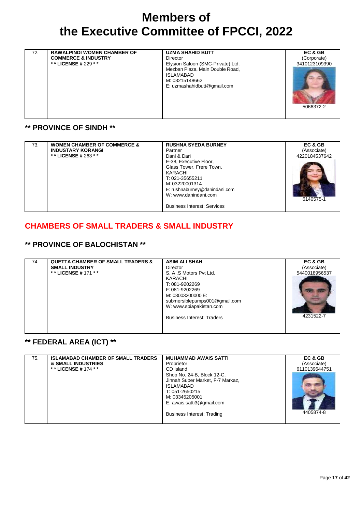| <b>RAWALPINDI WOMEN CHAMBER OF</b><br>72.<br><b>COMMERCE &amp; INDUSTRY</b><br>** LICENSE # 229 * * | <b>UZMA SHAHID BUTT</b><br>Director<br>Elysion Saloon (SMC-Private) Ltd.<br>Mezban Plaza, Main Double Road,<br><b>ISLAMABAD</b><br>M: 03215148662<br>E: uzmashahidbutt@gmail.com | EC & GB<br>(Corporate)<br>3410123109390<br>5066372-2 |
|-----------------------------------------------------------------------------------------------------|----------------------------------------------------------------------------------------------------------------------------------------------------------------------------------|------------------------------------------------------|
|-----------------------------------------------------------------------------------------------------|----------------------------------------------------------------------------------------------------------------------------------------------------------------------------------|------------------------------------------------------|

#### **\*\* PROVINCE OF SINDH \*\***

| 73. | <b>WOMEN CHAMBER OF COMMERCE &amp;</b> | <b>RUSHNA SYEDA BURNEY</b>                                                                                                                                                                        | EC & GB       |
|-----|----------------------------------------|---------------------------------------------------------------------------------------------------------------------------------------------------------------------------------------------------|---------------|
|     | <b>INDUSTARY KORANGI</b>               | Partner                                                                                                                                                                                           | (Associate)   |
|     | * * LICENSE # 263 * *                  | Dani & Dani                                                                                                                                                                                       | 4220184537642 |
|     |                                        | E-38, Executive Floor,<br>Glass Tower, Frere Town,<br>KARACHI<br>T: 021-35655211<br>M: 03220001314<br>E: rushnaburney@danindani.com<br>W: www.danindani.com<br><b>Business Interest: Services</b> | 6140575-1     |

#### **CHAMBERS OF SMALL TRADERS & SMALL INDUSTRY**

### **\*\* PROVINCE OF BALOCHISTAN \*\***

| 74. | <b>QUETTA CHAMBER OF SMALL TRADERS &amp;</b> | <b>ASIM ALI SHAH</b>              | EC & GB       |
|-----|----------------------------------------------|-----------------------------------|---------------|
|     | <b>SMALL INDUSTRY</b>                        | Director                          | (Associate)   |
|     | * * LICENSE # 171 * *                        | S. A .S Motors Pvt Ltd.           | 5440018956537 |
|     |                                              | KARACHI                           |               |
|     |                                              | T: 081-9202269                    |               |
|     |                                              | F: 081-9202269                    |               |
|     |                                              | M: 03003200000 E:                 |               |
|     |                                              | submersiblepumps001@gmail.com     |               |
|     |                                              | W: www.spiapakistan.com           |               |
|     |                                              |                                   |               |
|     |                                              | <b>Business Interest: Traders</b> | 4231522-7     |
|     |                                              |                                   |               |
|     |                                              |                                   |               |

#### **\*\* FEDERAL AREA (ICT) \*\***

| 75. | <b>ISLAMABAD CHAMBER OF SMALL TRADERS</b> | <b>MUHAMMAD AWAIS SATTI</b>       | EC & GB       |
|-----|-------------------------------------------|-----------------------------------|---------------|
|     | <b>&amp; SMALL INDUSTRIES</b>             | Proprietor                        | (Associate)   |
|     | * * LICENSE # 174 * *                     | CD Island                         | 6110139644751 |
|     |                                           | Shop No. 24-B, Block 12-C,        |               |
|     |                                           | Jinnah Super Market, F-7 Markaz,  |               |
|     |                                           | <b>ISLAMABAD</b>                  |               |
|     |                                           | T: 051-2650215                    |               |
|     |                                           | M: 03345205001                    |               |
|     |                                           | E: awais.satti3@gmail.com         |               |
|     |                                           | <b>Business Interest: Trading</b> | 4405874-8     |
|     |                                           |                                   |               |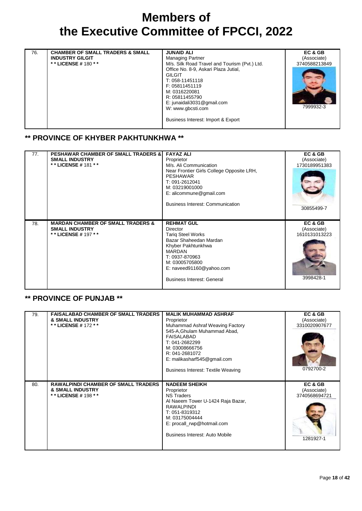| 76. | <b>CHAMBER OF SMALL TRADERS &amp; SMALL</b><br><b>INDUSTRY GILGIT</b><br>* * LICENSE # 180 * * | <b>JUNAID ALI</b><br><b>Managing Partner</b><br>M/s. Silk Road Travel and Tourism (Pvt.) Ltd.<br>Office No. 8-9, Askari Plaza Jutial,<br><b>GILGIT</b><br>T: 058-11451118<br>F: 05811451119<br>M: 0316220081<br>R: 05811455790<br>E: junaidali3031@gmail.com<br>W: www.gbcsti.com<br>Business Interest: Import & Export | EC & GB<br>(Associate)<br>3740588213849<br>7999932-3 |
|-----|------------------------------------------------------------------------------------------------|-------------------------------------------------------------------------------------------------------------------------------------------------------------------------------------------------------------------------------------------------------------------------------------------------------------------------|------------------------------------------------------|
|-----|------------------------------------------------------------------------------------------------|-------------------------------------------------------------------------------------------------------------------------------------------------------------------------------------------------------------------------------------------------------------------------------------------------------------------------|------------------------------------------------------|

#### **\*\* PROVINCE OF KHYBER PAKHTUNKHWA \*\***

| 77. | <b>PESHAWAR CHAMBER OF SMALL TRADERS &amp;</b><br><b>SMALL INDUSTRY</b><br>* * LICENSE # 181 * * | <b>FAYAZ ALI</b><br>Proprietor<br>M/s. Ali Communication<br>Near Frontier Girls College Opposite LRH,<br><b>PESHAWAR</b><br>T: 091-2612041<br>M: 03219001000<br>E: alicommune@gmail.com<br>Business Interest: Communication            | EC & GB<br>(Associate)<br>1730189951383<br>30855499-7 |
|-----|--------------------------------------------------------------------------------------------------|----------------------------------------------------------------------------------------------------------------------------------------------------------------------------------------------------------------------------------------|-------------------------------------------------------|
| 78. | <b>MARDAN CHAMBER OF SMALL TRADERS &amp;</b><br><b>SMALL INDUSTRY</b><br>* * LICENSE # 197 * *   | <b>REHMAT GUL</b><br><b>Director</b><br><b>Tariq Steel Works</b><br>Bazar Shaheedan Mardan<br>Khyber Pakhtunkhwa<br><b>MARDAN</b><br>T: 0937-870963<br>M: 03005705800<br>E: naveed91160@yahoo.com<br><b>Business Interest: General</b> | EC & GB<br>(Associate)<br>1610131013223<br>3998428-1  |

#### **\*\* PROVINCE OF PUNJAB \*\***

| 79. | <b>FAISALABAD CHAMBER OF SMALL TRADERS</b><br><b>&amp; SMALL INDUSTRY</b><br>* * LICENSE # 172 * * | <b>MALIK MUHAMMAD ASHRAF</b><br>Proprietor<br>Muhammad Ashraf Weaving Factory<br>545-A, Ghulam Muhammad Abad,<br><b>FAISALABAD</b><br>T: 041-2682299<br>M: 03008666756<br>R: 041-2681072<br>E: malikasharf545@gmail.com<br><b>Business Interest: Textile Weaving</b> | EC & GB<br>(Associate)<br>3310020907677<br>0792700-2 |
|-----|----------------------------------------------------------------------------------------------------|----------------------------------------------------------------------------------------------------------------------------------------------------------------------------------------------------------------------------------------------------------------------|------------------------------------------------------|
| 80. | <b>RAWALPINDI CHAMBER OF SMALL TRADERS</b><br><b>&amp; SMALL INDUSTRY</b><br>* * LICENSE # 198 * * | <b>NADEEM SHEIKH</b><br>Proprietor<br><b>NS Traders</b><br>Al Naeem Tower U-1424 Raja Bazar,<br><b>RAWALPINDI</b><br>T: 051-8319312<br>M: 03175004444<br>E: procall_rwp@hotmail.com<br>Business Interest: Auto Mobile                                                | EC & GB<br>(Associate)<br>3740568694721<br>1281927-1 |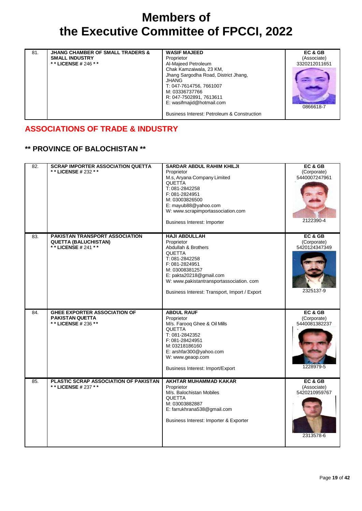| <b>JHANG CHAMBER OF SMALL TRADERS &amp;</b><br>81.<br><b>SMALL INDUSTRY</b><br>* * LICENSE # 246 * * | <b>WASIF MAJEED</b><br>Proprietor<br>Al-Majeed Petroleum<br>Chak Kamzaiwala, 23 KM,<br>Jhang Sargodha Road, District Jhang,<br><b>JHANG</b><br>T: 047-7614756, 7661007<br>M: 03336737766<br>R: 047-7502891, 7613611<br>E: wasifmajid@hotmail.com<br>Business Interest: Petroleum & Construction | EC & GB<br>(Associate)<br>3320212011651<br>0866618-7 |
|------------------------------------------------------------------------------------------------------|-------------------------------------------------------------------------------------------------------------------------------------------------------------------------------------------------------------------------------------------------------------------------------------------------|------------------------------------------------------|
|------------------------------------------------------------------------------------------------------|-------------------------------------------------------------------------------------------------------------------------------------------------------------------------------------------------------------------------------------------------------------------------------------------------|------------------------------------------------------|

#### **ASSOCIATIONS OF TRADE & INDUSTRY**

### **\*\* PROVINCE OF BALOCHISTAN \*\***

| 82. | <b>SCRAP IMPORTER ASSOCIATION QUETTA</b><br>** LICENSE # 232 **                        | <b>SARDAR ABDUL RAHIM KHILJI</b><br>Proprietor<br>M.s, Aryana Company Limited<br><b>QUETTA</b><br>T: 081-2842258<br>F: 081-2824951<br>M: 03003826500<br>E: mayub88@yahoo.com<br>W: www.scrapimportassociation.com<br>Business Interest: Importer        | EC&GB<br>(Corporate)<br>5440007247961<br>2122390-4   |
|-----|----------------------------------------------------------------------------------------|---------------------------------------------------------------------------------------------------------------------------------------------------------------------------------------------------------------------------------------------------------|------------------------------------------------------|
| 83. | PAKISTAN TRANSPORT ASSOCIATION<br><b>QUETTA (BALUCHISTAN)</b><br>* * LICENSE # 241 * * | <b>HAJI ABDULLAH</b><br>Proprietor<br>Abdullah & Brothers<br><b>QUETTA</b><br>T: 081-2842258<br>F: 081-2824951<br>M: 03008381257<br>E: pakta20218@gmail.com<br>W: www.pakistantransportassociation.com<br>Business Interest: Transport, Import / Export | EC&GB<br>(Corporate)<br>5420124347349<br>2325137-9   |
| 84. | <b>GHEE EXPORTER ASSOCIATION OF</b><br><b>PAKISTAN QUETTA</b><br>** LICENSE # 236 **   | <b>ABDUL RAUF</b><br>Proprietor<br>M/s. Farooq Ghee & Oil Mills<br>QUETTA<br>T: 081-2842352<br>F: 081-28424951<br>M: 03218186160<br>E: arshfar300@yahoo.com<br>W: www.geaop.com<br>Business Interest: Import/Export                                     | EC&GB<br>(Corporate)<br>5440081382237<br>1228979-5   |
| 85. | PLASTIC SCRAP ASSOCIATION OF PAKISTAN<br>* * LICENSE # 237 * *                         | <b>AKHTAR MUHAMMAD KAKAR</b><br>Proprietor<br>M/s. Balochistan Mobiles<br><b>QUETTA</b><br>M: 03003882887<br>E: farrukhrana538@gmail.com<br>Business Interest: Importer & Exporter                                                                      | EC & GB<br>(Associate)<br>5420210959767<br>2313578-6 |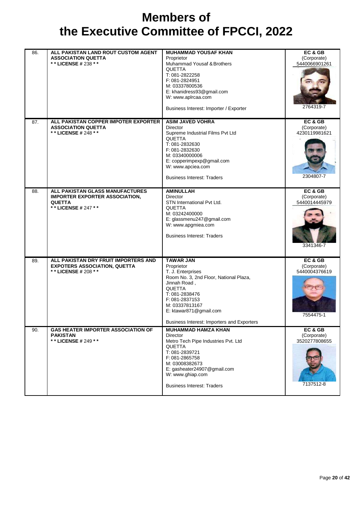| 86. | ALL PAKISTAN LAND ROUT CUSTOM AGENT<br><b>ASSOCIATION QUETTA</b><br>** LICENSE # 238 **                          | <b>MUHAMMAD YOUSAF KHAN</b><br>Proprietor<br>Muhammad Yousaf & Brothers<br><b>QUETTA</b><br>T: 081-2822258<br>F: 081-2824951<br>M: 03337800536<br>E: khanidress93@gmail.com<br>W: www.aplrcaa.com<br>Business Interest: Importer / Exporter                  | EC & GB<br>(Corporate)<br>5440066901261<br>2764319-7 |
|-----|------------------------------------------------------------------------------------------------------------------|--------------------------------------------------------------------------------------------------------------------------------------------------------------------------------------------------------------------------------------------------------------|------------------------------------------------------|
| 87. | ALL PAKISTAN COPPER IMPOTER EXPORTER<br><b>ASSOCIATION QUETTA</b><br>** LICENSE # 248 **                         | <b>ASIM JAVED VOHRA</b><br><b>Director</b><br>Supreme Industrial Films Pvt Ltd<br><b>QUETTA</b><br>T: 081-2832630<br>F: 081-2832630<br>M: 03340000006<br>E: copperimpexp@gmail.com<br>W: www.apciea.com<br><b>Business Interest: Traders</b>                 | EC & GB<br>(Corporate)<br>4230119981621<br>2304807-7 |
| 88. | ALL PAKISTAN GLASS MANUFACTURES<br><b>IMPORTER EXPORTER ASSOCIATION,</b><br><b>QUETTA</b><br>** LICENSE # 247 ** | <b>AMINULLAH</b><br><b>Director</b><br>STN International Pvt Ltd.<br>QUETTA<br>M: 03242400000<br>E: glassmenu247@gmail.com<br>W: www.apgmiea.com<br><b>Business Interest: Traders</b>                                                                        | EC& GB<br>(Corporate)<br>5440014445979<br>3341346-7  |
| 89. | ALL PAKISTAN DRY FRUIT IMPORTERS AND<br><b>EXPOTERS ASSOCIATION, QUETTA</b><br>** LICENSE # 208 **               | <b>TAWAR JAN</b><br>Proprietor<br>T. J. Enterprises<br>Room No. 3, 2nd Floor, National Plaza,<br>Jinnah Road.<br><b>QUETTA</b><br>T: 081-2838476<br>F: 081-2837153<br>M: 03337813167<br>E: ktawar871@gmail.com<br>Business Interest: Importers and Exporters | EC & GB<br>(Corporate)<br>5440004376619<br>7554475-1 |
| 90. | <b>GAS HEATER IMPORTER ASSOCIATION OF</b><br><b>PAKISTAN</b><br>** LICENSE # 249 **                              | <b>MUHAMMAD HAMZA KHAN</b><br>Director<br>Metro Tech Pipe Industries Pvt. Ltd<br>QUETTA<br>T: 081-2839721<br>F: 081-2865758<br>M: 03008382673<br>E: gasheater24907@gmail.com<br>W: www.ghiap.com<br><b>Business Interest: Traders</b>                        | EC & GB<br>(Corporate)<br>3520277808655<br>7137512-8 |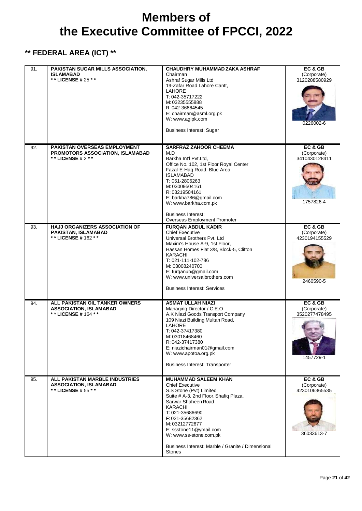### **\*\* FEDERAL AREA (ICT) \*\***

| 91. | PAKISTAN SUGAR MILLS ASSOCIATION,<br><b>ISLAMABAD</b><br>* * LICENSE # 25 * *             | CHAUDHRY MUHAMMAD ZAKA ASHRAF<br>Chairman<br>Ashraf Sugar Mills Ltd<br>19-Zafar Road Lahore Cantt,<br><b>LAHORE</b><br>T: 042-35717222<br>M: 03235555888<br>R: 042-36664545<br>E: chairman@asml.org.pk<br>W: www.agipk.com<br><b>Business Interest: Sugar</b>                                                                                        | EC & GB<br>(Corporate)<br>3120288580929<br>0226002-6  |
|-----|-------------------------------------------------------------------------------------------|------------------------------------------------------------------------------------------------------------------------------------------------------------------------------------------------------------------------------------------------------------------------------------------------------------------------------------------------------|-------------------------------------------------------|
| 92. | PAKISTAN OVERSEAS EMPLOYMENT<br>PROMOTORS ASSOCIATION, ISLAMABAD<br>* * LICENSE # $2$ * * | <b>SARFRAZ ZAHOOR CHEEMA</b><br>M.D<br>Barkha Int'l Pvt.Ltd,<br>Office No. 102, 1st Floor Royal Center<br>Fazal-E-Haq Road, Blue Area<br><b>ISLAMABAD</b><br>T: 051-2806263<br>M: 03009504161<br>R: 03219504161<br>E: barkha786@gmail.com<br>W: www.barkha.com.pk<br><b>Business Interest:</b><br>Overseas Employment Promoter                       | EC & GB<br>(Corporate)<br>3410430128411<br>1757826-4  |
| 93. | <b>HAJJ ORGANIZERS ASSOCIATION OF</b><br>PAKISTAN, ISLAMABAD<br>**LICENSE #162 **         | <b>FURQAN ABDUL KADIR</b><br><b>Chief Executive</b><br>Universal Brothers Pvt. Ltd<br>Maxim's House A-9, 1st Floor,<br>Hassan Homes Flat 3/8, Block-5, Clifton<br><b>KARACHI</b><br>T: 021-111-102-786<br>M: 03008240700<br>E: furqanub@gmail.com<br>W: www.universalbrothers.com<br><b>Business Interest: Services</b>                              | EC & GB<br>(Corporate)<br>4230194155529<br>2460590-5  |
| 94. | ALL PAKISTAN OIL TANKER OWNERS<br><b>ASSOCIATION, ISLAMABAD</b><br>** LICENSE # 164 **    | <b>ASMAT ULLAH NIAZI</b><br>Managing Director / C.E.O<br>A.K Niazi Goods Transport Company<br>109 Niazi Building Multan Road,<br>LAHORE<br>T: 042-37417380<br>M.03018468460<br>R: 042-37417380<br>E: niazichairman01@gmail.com<br>W: www.apotoa.org.pk<br><b>Business Interest: Transporter</b>                                                      | EC & GB<br>(Corporate)<br>3520277478495<br>1457729-1  |
| 95. | ALL PAKISTAN MARBLE INDUSTRIES<br><b>ASSOCIATION, ISLAMABAD</b><br>** LICENSE # 55 **     | <b>MUHAMMAD SALEEM KHAN</b><br><b>Chief Executive</b><br>S.S Stone (Pvt) Limited<br>Suite # A-3, 2nd Floor, Shafiq Plaza,<br>Sarwar Shaheen Road<br><b>KARACHI</b><br>T: 021-35686690<br>F: 021-35682362<br>M: 03212772677<br>E: ssstone11@ymail.com<br>W: www.ss-stone.com.pk<br>Business Interest: Marble / Granite / Dimensional<br><b>Stones</b> | EC & GB<br>(Corporate)<br>4230106365535<br>36033613-7 |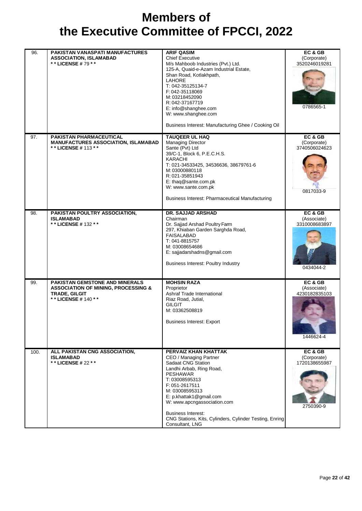| 96.  | PAKISTAN VANASPATI MANUFACTURES<br><b>ASSOCIATION, ISLAMABAD</b><br>** LICENSE #79 **                                             | <b>ARIF QASIM</b><br><b>Chief Executive</b><br>M/s Mahboob Industries (Pvt.) Ltd.<br>125-A, Quaid-e-Azam Industrial Estate,<br>Shan Road, Kotlakhpath,<br><b>LAHORE</b><br>T: 042-35125134-7<br>F: 042-35118069<br>M: 03218452090<br>R: 042-37167719<br>E: info@shanghee.com<br>W: www.shanghee.com<br>Business Interest: Manufacturing Ghee / Cooking Oil | EC & GB<br>(Corporate)<br>3520246019281<br>0786565-1 |
|------|-----------------------------------------------------------------------------------------------------------------------------------|------------------------------------------------------------------------------------------------------------------------------------------------------------------------------------------------------------------------------------------------------------------------------------------------------------------------------------------------------------|------------------------------------------------------|
| 97.  | <b>PAKISTAN PHARMACEUTICAL</b><br><b>MANUFACTURES ASSOCIATION, ISLAMABAD</b><br>** LICENSE # 113 **                               | <b>TAUQEER UL HAQ</b><br><b>Managing Director</b><br>Sante (Pvt) Ltd<br>39/C-1, Block 6, P.E.C.H.S.<br><b>KARACHI</b><br>T: 021-34533425, 34536636, 38679761-6<br>M: 03000880118<br>R: 021-35851943<br>E: thaq@sante.com.pk<br>W: www.sante.com.pk<br><b>Business Interest: Pharmaceutical Manufacturing</b>                                               | EC & GB<br>(Corporate)<br>3740506024623<br>0817033-9 |
| 98.  | PAKISTAN POULTRY ASSOCIATION,<br><b>ISLAMABAD</b><br>** LICENSE # 132 **                                                          | DR. SAJJAD ARSHAD<br>Chairman<br>Dr. Sajjad Arshad Poultry Farm<br>297, Khiaban Garden Sarghda Road,<br><b>FAISALABAD</b><br>T: 041-8815757<br>M: 03008654686<br>E: sajjadarshadns@gmail.com<br><b>Business Interest: Poultry Industry</b>                                                                                                                 | EC & GB<br>(Associate)<br>3310008683897<br>0434044-2 |
| 99.  | PAKISTAN GEMSTONE AND MINERALS<br><b>ASSOCIATION OF MINING, PROCESSING &amp;</b><br><b>TRADE, GILGIT</b><br>* * LICENSE # 140 * * | <b>MOHSIN RAZA</b><br>Proprietor<br>Ashraf Trade International<br>Riaz Road, Jutial,<br><b>GILGIT</b><br>M: 03362508819<br><b>Business Interest: Export</b>                                                                                                                                                                                                | EC & GB<br>(Associate)<br>4230182835103<br>1446624-4 |
| 100. | ALL PAKISTAN CNG ASSOCIATION,<br><b>ISLAMABAD</b><br>** LICENSE # 22 **                                                           | PERVAIZ KHAN KHATTAK<br>CEO / Managing Partner<br>Sadaat CNG Station<br>Landhi Arbab, Ring Road,<br><b>PESHAWAR</b><br>T: 03008595313<br>F: 051-2617511<br>M: 03008595313<br>E: p.khattak1@gmail.com<br>W: www.apcngassociation.com<br><b>Business Interest:</b><br>CNG Stations, Kits, Cylinders, Cylinder Testing, Enring<br>Consultant, LNG             | EC & GB<br>(Corporate)<br>1720138655987<br>2750390-9 |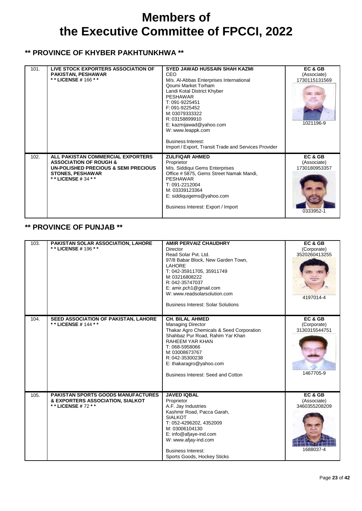#### **\*\* PROVINCE OF KHYBER PAKHTUNKHWA \*\***

| 101. | LIVE STOCK EXPORTERS ASSOCIATION OF<br><b>PAKISTAN, PESHAWAR</b><br>* * LICENSE # 166 * *                                                                         | <b>SYED JAWAD HUSSAIN SHAH KAZMI</b><br>CEO<br>M/s. Al-Abbas Enterprises International<br>Qoumi Market Torham<br>Landi Kotal District Khyber<br><b>PESHAWAR</b><br>T: 091-9225451<br>F: 091-9225452<br>M: 03079333322<br>R: 03158899910<br>E: kazmijawad@yahoo.com<br>W: www.leappk.com<br><b>Business Interest:</b><br>Import / Export, Transit Trade and Services Provider | EC & GB<br>(Associate)<br>1730115131569<br>1021196-9 |
|------|-------------------------------------------------------------------------------------------------------------------------------------------------------------------|------------------------------------------------------------------------------------------------------------------------------------------------------------------------------------------------------------------------------------------------------------------------------------------------------------------------------------------------------------------------------|------------------------------------------------------|
| 102. | ALL PAKISTAN COMMERCIAL EXPORTERS<br><b>ASSOCIATION OF ROUGH &amp;</b><br>UN-POLISHED PRECIOUS & SEMI PRECIOUS<br><b>STONES, PESHAWAR</b><br>* * LICENSE # 34 * * | <b>ZULFIQAR AHMED</b><br>Proprietor<br>M/s. Siddiqui Gems Enterprises<br>Office # 5875, Gems Street Namak Mandi,<br><b>PESHAWAR</b><br>T: 091-2212004<br>M: 03339123364<br>E: siddiquigems@yahoo.com<br>Business Interest: Export / Import                                                                                                                                   | EC & GB<br>(Associate)<br>1730180953357<br>0333952-1 |

#### **\*\* PROVINCE OF PUNJAB \*\***

| 103. | PAKISTAN SOLAR ASSOCIATION, LAHORE<br>** LICENSE # 196 **                                      | <b>AMIR PERVAIZ CHAUDHRY</b><br>Director<br>Read Solar Pvt. Ltd.<br>97/8 Babar Block, New Garden Town,<br><b>LAHORE</b><br>T: 042-35911705, 35911749<br>M: 03216808222<br>R: 042-35747037<br>E: amir.pch1@gmail.com<br>W: www.readsolarsolution.com<br><b>Business Interest: Solar Solutions</b> | EC & GB<br>(Corporate)<br>3520260413255<br>4197014-4 |
|------|------------------------------------------------------------------------------------------------|--------------------------------------------------------------------------------------------------------------------------------------------------------------------------------------------------------------------------------------------------------------------------------------------------|------------------------------------------------------|
| 104. | SEED ASSOCIATION OF PAKISTAN, LAHORE<br>* * LICENSE # 144 * *                                  | <b>CH. BILAL AHMED</b><br><b>Managing Director</b><br>Thakar Agro Chemicals & Seed Corporation<br>Shahbaz Pur Road, Rahim Yar Khan<br><b>RAHEEM YAR KHAN</b><br>T: 068-5958066<br>M: 03008673767<br>R: 042-35300238<br>E: thakaragro@yahoo.com<br>Business Interest: Seed and Cotton             | EC & GB<br>(Corporate)<br>3130315544751<br>1467705-9 |
| 105. | PAKISTAN SPORTS GOODS MANUFACTURES<br>& EXPORTERS ASSOCIATION, SIALKOT<br>* * LICENSE # 72 * * | <b>JAVED IQBAL</b><br>Proprietor<br>A.F. Jay Industries<br>Kashmir Road, Pacca Garah,<br><b>SIALKOT</b><br>T: 052-4296202, 4352009<br>M: 03006104130<br>E: info@afjaye-ind.com<br>W: www.afjay-ind.com<br><b>Business Interest:</b><br>Sports Goods, Hockey Sticks                               | EC & GB<br>(Associate)<br>3460355208209<br>1688037-4 |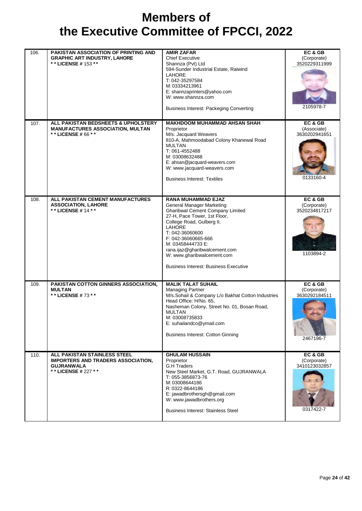| 106. | PAKISTAN ASSOCIATION OF PRINTING AND<br><b>GRAPHIC ART INDUSTRY, LAHORE</b><br>** LICENSE # 153 **                             | <b>AMIR ZAFAR</b><br><b>Chief Executive</b><br>Shannza (Pvt) Ltd<br>594-Sunder Industrial Estate, Raiwind<br><b>LAHORE</b><br>T: 042-35297584<br>M: 03334213961<br>E: shannzaprinters@yahoo.com<br>W: www.shannza.com<br><b>Business Interest: Packeging Converting</b>                                                                                              | EC & GB<br>(Corporate)<br>3520229311999<br>2105978-7 |
|------|--------------------------------------------------------------------------------------------------------------------------------|----------------------------------------------------------------------------------------------------------------------------------------------------------------------------------------------------------------------------------------------------------------------------------------------------------------------------------------------------------------------|------------------------------------------------------|
| 107. | ALL PAKISTAN BEDSHEETS & UPHOLSTERY<br><b>MANUFACTURES ASSOCIATION, MULTAN</b><br>* * LICENSE # 66 * *                         | <b>MAKHDOOM MUHAMMAD AHSAN SHAH</b><br>Proprietor<br>M/s. Jacquard Weavers<br>810-A, Mahmoodabad Colony Khanewal Road<br><b>MULTAN</b><br>T: 061-4552488<br>M: 03008632488<br>E: ahsan@jacquard-weavers.com<br>W: www.jacquard-weavers.com<br><b>Business Interest: Textiles</b>                                                                                     | EC & GB<br>(Associate)<br>3630202941651<br>0133160-4 |
| 108. | ALL PAKISTAN CEMENT MANUFACTURES<br><b>ASSOCIATION, LAHORE</b><br>* * LICENSE # 14 * *                                         | <b>RANA MUHAMMAD EJAZ</b><br><b>General Manager Marketing</b><br><b>Gharibwal Cement Company Limited</b><br>27-H, Pace Tower, 1st Floor,<br>College Road, Gulberg II,<br><b>LAHORE</b><br>T: 042-36060600<br>F: 042-36060665-666<br>M: 03458444733 E:<br>rana.ijaz@gharibwalcement.com<br>W: www.gharibwalcement.com<br><b>Business Interest: Business Executive</b> | EC & GB<br>(Corporate)<br>3520234817217<br>1103894-2 |
| 109. | PAKISTAN COTTON GINNERS ASSOCIATION,<br><b>MULTAN</b><br>** LICENSE #73 **                                                     | <b>MALIK TALAT SUHAIL</b><br><b>Managing Partner</b><br>M/s.Sohail & Company L/o Bakhat Cotton Industries<br>Head Office: H/No. 65,<br>Nasheman Colony, Street No. 01, Bosan Road,<br><b>MULTAN</b><br>M: 03008735833<br>E: suhailandco@ymail.com<br><b>Business Interest: Cotton Ginning</b>                                                                        | EC & GB<br>(Corporate)<br>3630292184511<br>2467196-7 |
| 110. | <b>ALL PAKISTAN STAINLESS STEEL</b><br><b>IMPORTERS AND TRADERS ASSOCIATION.</b><br><b>GUJRANWALA</b><br>* * LICENSE # 227 * * | <b>GHULAM HUSSAIN</b><br>Proprietor<br><b>G.H Traders</b><br>New Steel Market, G.T. Road, GUJRANWALA<br>T: 055-3856873-76<br>M: 03008644186<br>R: 0322-8644186<br>E: jawadbrothersgh@gmail.com<br>W: www.jawadbrothers.org<br><b>Business Interest: Stainless Steel</b>                                                                                              | EC&GB<br>(Corporate)<br>3410123032857<br>0317422-7   |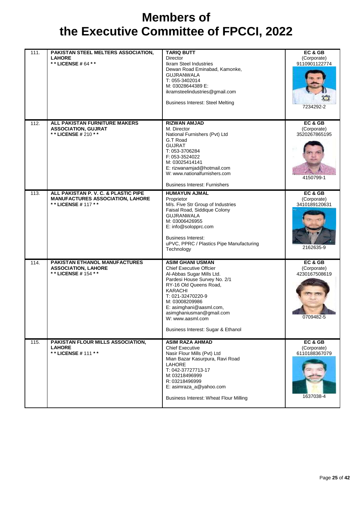| 111. | PAKISTAN STEEL MELTERS ASSOCIATION,<br><b>LAHORE</b><br>**LICENSE#64 **                                | <b>TARIQ BUTT</b><br><b>Director</b><br><b>Ikram Steel Industries</b><br>Dewan Road Eminabad, Kamonke,<br><b>GUJRANWALA</b><br>T: 055-3402014<br>M: 03028644389 E:<br>ikramsteelindustries@gmail.com<br><b>Business Interest: Steel Melting</b>                                                                     | EC&GB<br>(Corporate)<br>9110901122774<br>7234292-2   |
|------|--------------------------------------------------------------------------------------------------------|---------------------------------------------------------------------------------------------------------------------------------------------------------------------------------------------------------------------------------------------------------------------------------------------------------------------|------------------------------------------------------|
| 112. | ALL PAKISTAN FURNITURE MAKERS<br><b>ASSOCIATION, GUJRAT</b><br>** LICENSE # 210 **                     | <b>RIZWAN AMJAD</b><br>M. Director<br>National Furnishers (Pvt) Ltd<br>G.T Road<br><b>GUJRAT</b><br>T: 053-3706284<br>F: 053-3524022<br>M: 03025414141<br>E: rizwanamjad@hotmail.com<br>W: www.nationalfurnishers.com<br><b>Business Interest: Furnishers</b>                                                       | EC & GB<br>(Corporate)<br>3520267865195<br>4150799-1 |
| 113. | ALL PAKISTAN P. V. C. & PLASTIC PIPE<br><b>MANUFACTURES ASSOCIATION, LAHORE</b><br>** LICENSE # 117 ** | <b>HUMAYUN AJMAL</b><br>Proprietor<br>M/s. Five Str Group of Industries<br>Faisal Road, Siddique Colony<br><b>GUJRANWALA</b><br>M: 03006426955<br>E: info@solopprc.com<br><b>Business Interest:</b><br>uPVC, PPRC / Plastics Pipe Manufacturing<br>Technology                                                       | EC & GB<br>(Corporate)<br>3410189120631<br>2162635-9 |
| 114. | <b>PAKISTAN ETHANOL MANUFACTURES</b><br><b>ASSOCIATION, LAHORE</b><br>** LICENSE # 154 **              | <b>ASIM GHANI USMAN</b><br><b>Chief Executive Offcier</b><br>Al-Abbas Sugar Mills Ltd.<br>Pardesi House Survey No. 2/1<br>RY-16 Old Queens Road,<br>KARACHI<br>T: 021-32470220-9<br>M: 03008209986<br>E: asimghani@aasml.com,<br>asimghaniusman@gmail.com<br>W: www.aasml.com<br>Business Interest: Sugar & Ethanol | EC & GB<br>(Corporate)<br>4230167508619<br>0709482-5 |
| 115. | PAKISTAN FLOUR MILLS ASSOCIATION,<br><b>LAHORE</b><br>** LICENSE # 111 **                              | <b>ASIM RAZA AHMAD</b><br><b>Chief Executive</b><br>Nasir Flour Mills (Pvt) Ltd<br>Mian Bazar Kasurpura, Ravi Road<br>LAHORE<br>T: 042-37727713-17<br>M: 03218496999<br>R: 03218496999<br>E: asimraza_a@yahoo.com<br><b>Business Interest: Wheat Flour Milling</b>                                                  | EC & GB<br>(Corporate)<br>6110188367079<br>1637038-4 |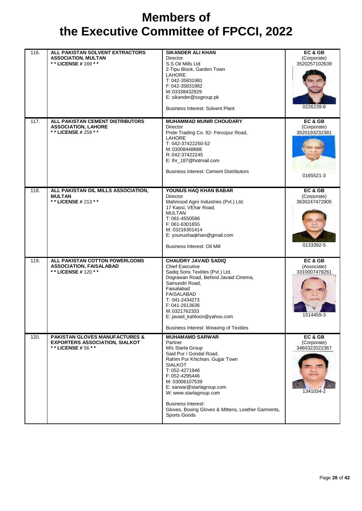| 116. | ALL PAKISTAN SOLVENT EXTRACTORS<br><b>ASSOCIATION, MULTAN</b><br>** LICENSE # 169 **                     | <b>SIKANDER ALI KHAN</b><br><b>Director</b><br>S.S Oil Mills Ltd<br>2-Tipu Block, Garden Town<br><b>LAHORE</b><br>T: 042-35831981<br>F: 042-35831982<br>M: 03338432929<br>E: sikander@ssgroup.pk<br><b>Business Interest: Solvent Plant</b>                                                                                                           | EC & GB<br>(Corporate)<br>3520257102639<br>0226239-8 |
|------|----------------------------------------------------------------------------------------------------------|-------------------------------------------------------------------------------------------------------------------------------------------------------------------------------------------------------------------------------------------------------------------------------------------------------------------------------------------------------|------------------------------------------------------|
| 117. | ALL PAKISTAN CEMENT DISTRIBUTORS<br><b>ASSOCIATION, LAHORE</b><br>** LICENSE # 259 **                    | <b>MUHAMMAD MUNIR CHOUDARY</b><br>Director<br>Pride Trading Co. 92- Ferozpur Road,<br><b>LAHORE</b><br>T: 042-37422250-52<br>M: 03008448888<br>R: 042-37422245<br>E: Ihr_187@hotmail.com<br><b>Business Interest: Cement Distributors</b>                                                                                                             | EC & GB<br>(Corporate)<br>3520193232381<br>0165521-3 |
| 118. | ALL PAKISTAN OIL MILLS ASSOCIATION,<br><b>MULTAN</b><br>** LICENSE # 213 **                              | YOUNUS HAQ KHAN BABAR<br><b>Director</b><br>Mahmood Agro Industries (Pvt.) Ltd.<br>17 Kassi, VEhar Road,<br><b>MULTAN</b><br>T: 061-4550586<br>F: 061-6301655<br>M: 03216301414<br>E: younushaqkhan@gmail.com<br>Business Interest: Oil Mill                                                                                                          | EC & GB<br>(Corporate)<br>3630247472905<br>0133392-5 |
| 119. | ALL PAKISTAN COTTON POWERLOOMS<br><b>ASSOCIATION, FAISALABAD</b><br>* * LICENSE # 120 * *                | <b>CHAUDRY JAVAID SADIQ</b><br><b>Chief Executive</b><br>Sadiq Sons Textiles (Pvt.) Ltd.<br>Dograwan Road, Behind Javaid Cinema,<br>Samundri Road.<br>Faisalabad<br>FAISALABAD<br>T: 041-2434273<br>F: 041-2613636<br>M: 0321762333<br>E: javaid_kahloon@yahoo.com<br>Business Interest: Weaving of Textiles                                          | EC & GB<br>(Associate)<br>3310007478261<br>1514459-3 |
| 120. | <b>PAKISTAN GLOVES MANUFACTURES &amp;</b><br><b>EXPORTERS ASSOCIATION, SIALKOT</b><br>** LICENSE # 56 ** | <b>MUHAMAMD SARWAR</b><br>Partner<br>M/s Starla Group<br>Said Pur / Gondal Road,<br>Rahim Pur Khichian, Gujjar Town<br><b>SIALKOT</b><br>T: 052-4271946<br>F: 052-4295446<br>M: 03006107539<br>E: sarwar@starlagroup.com<br>W: www.starlagroup.com<br><b>Business Interest:</b><br>Gloves, Boxing Gloves & Mittens, Leather Garments,<br>Sports Goods | EC & GB<br>(Corporate)<br>3460322022367<br>1341034-2 |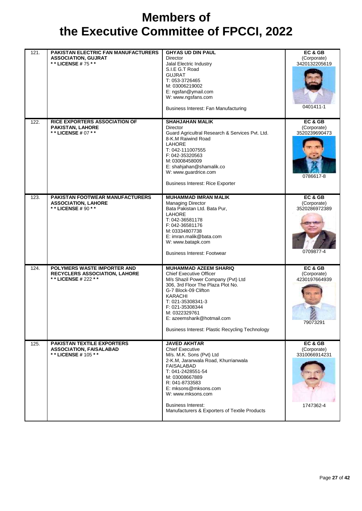| 121. | PAKISTAN ELECTRIC FAN MANUFACTURERS<br><b>ASSOCIATION, GUJRAT</b><br>** LICENSE # 75 **    | <b>GHYAS UD DIN PAUL</b><br><b>Director</b><br>Jalal Electric Industry<br>S.I.E G.T Road<br><b>GUJRAT</b><br>T: 053-3726465<br>M: 03006219002<br>E: ngsfan@ymail.com<br>W: www.ngsfans.com<br>Business Interest: Fan Manufacturing                                                                                            | EC & GB<br>(Corporate)<br>3420132205619<br>0401411-1 |
|------|--------------------------------------------------------------------------------------------|-------------------------------------------------------------------------------------------------------------------------------------------------------------------------------------------------------------------------------------------------------------------------------------------------------------------------------|------------------------------------------------------|
| 122. | <b>RICE EXPORTERS ASSOCIATION OF</b><br><b>PAKISTAN, LAHORE</b><br>** LICENSE # 07 **      | <b>SHAHJAHAN MALIK</b><br><b>Director</b><br>Guard Agricultral Research & Services Pvt. Ltd.<br>8-K.M Raiwind Road<br><b>LAHORE</b><br>T: 042-111007555<br>F: 042-35320563<br>M: 03008458009<br>E: shahjahan@shamalik.co<br>W: www.guardrice.com<br><b>Business Interest: Rice Exporter</b>                                   | EC & GB<br>(Corporate)<br>3520239690473<br>0786617-8 |
| 123. | PAKISTAN FOOTWEAR MANUFACTURERS<br><b>ASSOCIATION, LAHORE</b><br>** LICENSE # 90 * *       | <b>MUHAMMAD IMRAN MALIK</b><br><b>Managing Director</b><br>Bata Pakistan Ltd. Bata Pur,<br>LAHORE<br>T: 042-36581178<br>F: 042-36581176<br>M: 03334807738<br>E: imran.malik@bata.com<br>W: www.batapk.com<br><b>Business Interest: Footwear</b>                                                                               | EC & GB<br>(Corporate)<br>3520286972389<br>0709877-4 |
| 124. | POLYMERS WASTE IMPORTER AND<br><b>RECYCLERS ASSOCIATION, LAHORE</b><br>** LICENSE # 222 ** | <b>MUHAMMAD AZEEM SHARIQ</b><br><b>Chief Executive Officer</b><br>M/s Shazil Power Company (Pvt) Ltd<br>306, 3rd Floor The Plaza Plot No.<br>G-7 Block-09 Clifton<br><b>KARACHI</b><br>T: 021-35308341-3<br>F: 021-35308344<br>M: 0322329761<br>E: azeemsharik@hotmail.com<br>Business Interest: Plastic Recycling Technology | EC & GB<br>(Corporate)<br>4230197664939<br>79073291  |
| 125. | <b>PAKISTAN TEXTILE EXPORTERS</b><br><b>ASSOCIATION, FAISALABAD</b><br>** LICENSE # 105 ** | <b>JAVED AKHTAR</b><br><b>Chief Executive</b><br>M/s. M.K. Sons (Pvt) Ltd<br>2-K.M, Jaranwala Road, Khurrianwala<br><b>FAISALABAD</b><br>T: 041-2428551-54<br>M: 03008667889<br>R: 041-8733583<br>E: mksons@mksons.com<br>W: www.mksons.com<br><b>Business Interest:</b><br>Manufacturers & Exporters of Textile Products     | EC & GB<br>(Corporate)<br>3310066914231<br>1747362-4 |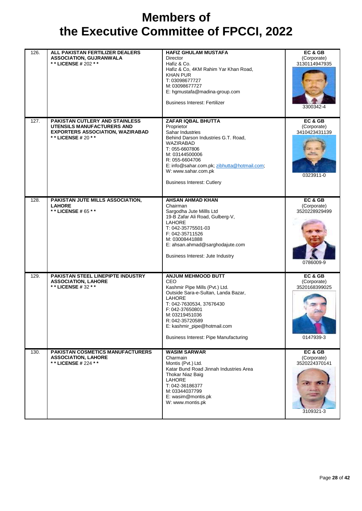| 126. | ALL PAKISTAN FERTILIZER DEALERS<br><b>ASSOCIATION, GUJRANWALA</b><br>* * LICENSE # 202 * *                                     | <b>HAFIZ GHULAM MUSTAFA</b><br><b>Director</b><br>Hafiz & Co.<br>Hafiz & Co, 4KM Rahim Yar Khan Road,<br><b>KHAN PUR</b><br>T: 03098677727<br>M: 03098677727<br>E: hgmustafa@madina-group.com<br><b>Business Interest: Fertilizer</b>                                                         | EC & GB<br>(Corporate)<br>3130114947935<br>3300342-4 |
|------|--------------------------------------------------------------------------------------------------------------------------------|-----------------------------------------------------------------------------------------------------------------------------------------------------------------------------------------------------------------------------------------------------------------------------------------------|------------------------------------------------------|
| 127. | PAKISTAN CUTLERY AND STAINLESS<br>UTENSILS MANUFACTURERS AND<br><b>EXPORTERS ASSOCIATION, WAZIRABAD</b><br>** LICENSE # 20 * * | ZAFAR IQBAL BHUTTA<br>Proprietor<br>Sahar Industries<br>Behind Darson Industries G.T. Road,<br>WAZIRABAD<br>T: 055-6607806<br>M: 03144500006<br>R: 055-6604706<br>E: info@sahar.com.pk; zibhutta@hotmail.com;<br>W: www.sahar.com.pk<br><b>Business Interest: Cutlery</b>                     | EC & GB<br>(Corporate)<br>3410423431139<br>0323911-0 |
| 128. | PAKISTAN JUTE MILLS ASSOCIATION,<br><b>LAHORE</b><br>** LICENSE # 65 **                                                        | <b>AHSAN AHMAD KHAN</b><br>Chairman<br>Sargodha Jute Millls Ltd<br>19-B Zafar Ali Road, Gulberg-V,<br><b>LAHORE</b><br>T: 042-35775501-03<br>F: 042-35711526<br>M: 03008441888<br>E: ahsan.ahmad@sarghodajute.com<br>Business Interest: Jute Industry                                         | EC & GB<br>(Corporate)<br>3520228929499<br>0786009-9 |
| 129. | <b>PAKISTAN STEEL LINEPIPTE INDUSTRY</b><br><b>ASSOCIATION, LAHORE</b><br>** LICENSE # 32 **                                   | <b>ANJUM MEHMOOD BUTT</b><br>CEO<br>Kashmir Pipe Mills (Pvt.) Ltd.<br>Outside Sara-e-Sultan, Landa Bazar,<br><b>LAHORE</b><br>T: 042-7630534, 37676430<br>F: 042-37650801<br>M: 03219451036<br>R: 042-35720589<br>E: kashmir_pipe@hotmail.com<br><b>Business Interest: Pipe Manufacturing</b> | EC & GB<br>(Corporate)<br>3520168399025<br>0147939-3 |
| 130. | <b>PAKISTAN COSMETICS MANUFACTURERS</b><br><b>ASSOCIATION, LAHORE</b><br>**LICENSE # 224 **                                    | <b>WASIM SARWAR</b><br>Charmain<br>Montis (Pvt.) Ltd.<br>Katar Bund Road Jinnah Industries Area<br><b>Thokar Niaz Baig</b><br>LAHORE<br>T: 042-36186377<br>M: 03344037799<br>E: wasim@montis.pk<br>W: www.montis.pk                                                                           | EC & GB<br>(Corporate)<br>3520224370141<br>3109321-3 |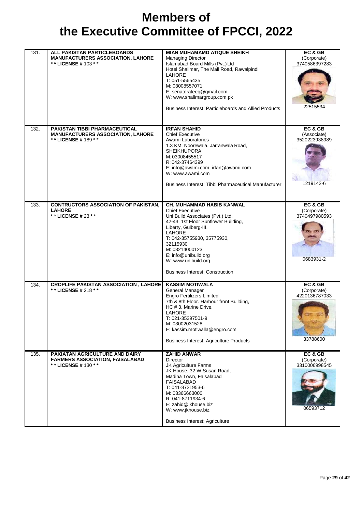| 131. | ALL PAKISTAN PARTICLEBOARDS<br><b>MANUFACTURERS ASSOCIATION, LAHORE</b><br>** LICENSE # 103 **          | <b>MIAN MUHAMAMD ATIQUE SHEIKH</b><br><b>Managing Director</b><br>Islamabad Board Mills (Pvt.) Ltd<br>Hotel Shalimar, The Mall Road, Rawalpindi<br><b>LAHORE</b><br>T: 051-5565435<br>M: 03008557071<br>E: senatorateeq@gmail.com<br>W: www.shalimargroup.com.pk<br>Business Interest: Particleboards and Allied Products | EC & GB<br>(Corporate)<br>3740586397283<br>22515534  |
|------|---------------------------------------------------------------------------------------------------------|---------------------------------------------------------------------------------------------------------------------------------------------------------------------------------------------------------------------------------------------------------------------------------------------------------------------------|------------------------------------------------------|
| 132. | <b>PAKISTAN TIBBI PHARMACEUTICAL</b><br><b>MANUFACTURERS ASSOCIATION, LAHORE</b><br>** LICENSE # 189 ** | <b>IRFAN SHAHID</b><br><b>Chief Executive</b><br>Awami Laboratories<br>1.3 KM, Noorewala, Jarranwala Road,<br><b>SHEIKHUPORA</b><br>M: 03008455517<br>R: 042-37464399<br>E: info@awami.com, irfan@awami.com<br>W: www.awami.com<br>Business Interest: Tibbi Pharmaceutical Manufacturer                                   | EC & GB<br>(Associate)<br>3520223938989<br>1219142-6 |
| 133. | <b>CONTRUCTORS ASSOCIATION OF PAKISTAN,</b><br><b>LAHORE</b><br>** LICENSE # 23 * *                     | CH. MUHAMMAD HABIB KANWAL<br><b>Chief Executive</b><br>Uni Build Associates (Pvt.) Ltd.<br>42-43, 1st Floor Sunflower Building,<br>Liberty, Gulberg-III,<br>LAHORE<br>T: 042-35755930, 35775930,<br>32115930<br>M: 03214000123<br>E: info@unibuild.org<br>W: www.unibuild.org<br><b>Business Interest: Construction</b>   | EC & GB<br>(Corporate)<br>3740497980593<br>0683931-2 |
| 134. | <b>CROPLIFE PAKISTAN ASSOCIATION, LAHORE</b><br>** LICENSE # 218 **                                     | <b>KASSIM MOTIWALA</b><br>General Manager<br><b>Engro Fertilizers Limited</b><br>7th & 8th Floor. Harbour front Building,<br>HC # 3, Marine Drive,<br>LAHORE<br>T: 021-35297501-9<br>M: 03002031528<br>E: kassim.motiwalla@engro.com<br><b>Business Interest: Agriculture Products</b>                                    | EC & GB<br>(Corporate)<br>4220136787033<br>33788600  |
| 135. | PAKIATAN AGRICULTURE AND DAIRY<br><b>FARMERS ASSOCIATION, FAISALABAD</b><br>* * LICENSE # 130 * *       | <b>ZAHID ANWAR</b><br>Director<br><b>JK Agriculture Farms</b><br>JK House, 32-W Susan Road,<br>Madina Town, Faisalabad<br><b>FAISALABAD</b><br>T: 041-8721953-6<br>M: 03366663000<br>R: 041-8711934-6<br>E: zahid@jkhouse.biz<br>W: www.jkhouse.biz<br><b>Business Interest: Agriculture</b>                              | EC & GB<br>(Corporate)<br>3310006998545<br>06593712  |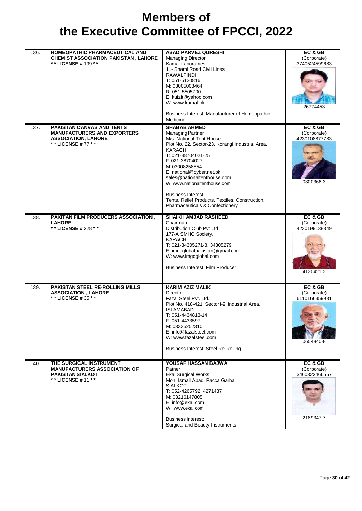| 136. | HOMEOPATHIC PHARMACEUTICAL AND<br><b>CHEMIST ASSOCIATION PAKISTAN, LAHORE</b><br>** LICENSE # 199 **                      | <b>ASAD PARVEZ QURESHI</b><br><b>Managing Director</b><br><b>Kamal Laboratries</b><br>11- Shami Road Civil Lines<br><b>RAWALPINDI</b><br>T: 051-5120816<br>M: 03005008464<br>R: 051-5505700<br>E: kufzit@yahoo.com<br>W: www.kamal.pk<br>Business Interest: Manufacturer of Homeopathic<br>Medicine                                                                                                                 | EC & GB<br>(Corporate)<br>3740524599683<br>26774453  |
|------|---------------------------------------------------------------------------------------------------------------------------|---------------------------------------------------------------------------------------------------------------------------------------------------------------------------------------------------------------------------------------------------------------------------------------------------------------------------------------------------------------------------------------------------------------------|------------------------------------------------------|
| 137. | <b>PAKISTAN CANVAS AND TENTS</b><br><b>MANUFACTURERS AND EXPORTERS</b><br><b>ASSOCIATION, LAHORE</b><br>** LICENSE #77 ** | <b>SHABAB AHMED</b><br><b>Managing Partner</b><br>M/s. National Tent House<br>Plot No. 22, Sector-23, Korangi Industrial Area,<br>KARACHI<br>T: 021-38704021-25<br>F: 021-38704027<br>M: 03008258854<br>E: national@cyber.net.pk;<br>sales@nationaltenthouse.com<br>W: www.nationaltenthouse.com<br><b>Business Interest:</b><br>Tents, Relief Products, Textiles, Construction,<br>Pharmaceuticals & Confectionery | EC & GB<br>(Corporate)<br>4230108877783<br>0300366-3 |
| 138. | PAKITAN FILM PRODUCERS ASSOCIATION,<br><b>LAHORE</b><br>** LICENSE # 228 **                                               | <b>SHAIKH AMJAD RASHEED</b><br>Chairman<br>Distribution Club Pvt Ltd<br>177-A SMHC Society,<br><b>KARACHI</b><br>T: 021-34305271-8, 34305279<br>E: imgcglobalpakistan@gmail.com<br>W: www.imgcglobal.com<br><b>Business Interest: Film Producer</b>                                                                                                                                                                 | EC & GB<br>(Corporate)<br>4230199138349<br>4120421-2 |
| 139. | <b>PAKISTAN STEEL RE-ROLLING MILLS</b><br><b>ASSOCIATION, LAHORE</b><br>** LICENSE # 35 **                                | <b>KARIM AZIZ MALIK</b><br><b>Director</b><br>Fazal Steel Pvt. Ltd.<br>Plot No. 418-421, Sector I-9, Industrial Area,<br><b>ISLAMABAD</b><br>T: 051-4434813-14<br>F: 051-4433597<br>M: 03335252310<br>E: info@fazalsteel.com<br>W: www.fazalsteel.com<br><b>Business Interest: Steel Re-Rolling</b>                                                                                                                 | EC & GB<br>(Corporate)<br>6110166359931<br>0654840-8 |
| 140. | THE SURGICAL INSTRUMENT<br><b>MANUFACTURERS ASSOCIATION OF</b><br><b>PAKISTAN SIALKOT</b><br>** LICENSE # 11 **           | YOUSAF HASSAN BAJWA<br>Patner<br><b>Ekal Surgical Works</b><br>Moh: Ismail Abad, Pacca Garha<br><b>SIALKOT</b><br>T: 052-4265792, 4271437<br>M: 03216147805<br>E: info@ekal.com<br>W: www.ekal.com<br><b>Business Interest:</b><br>Surgical and Beauty Instruments                                                                                                                                                  | EC & GB<br>(Corporate)<br>3460322466557<br>2189347-7 |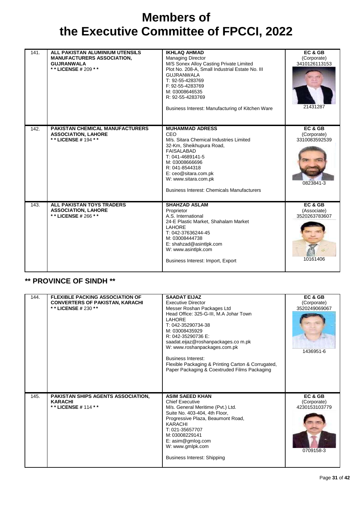| 141. | ALL PAKISTAN ALUMINIUM UTENSILS<br><b>MANUFACTURERS ASSOCIATION,</b><br><b>GUJRANWALA</b><br>** LICENSE # 209 ** | <b>IKHLAQ AHMAD</b><br><b>Managing Director</b><br>M/S Sonex Alloy Casting Private Limited<br>Plot No. 208-A, Small Industrial Estate No. III<br><b>GUJRANWALA</b><br>T: 92-55-4283769<br>F: 92-55-4283769<br>M: 03008646535<br>R: 92-55-4283769<br>Business Interest: Manufacturing of Kitchen Ware | EC & GB<br>(Corporate)<br>3410126113153<br>21431287  |
|------|------------------------------------------------------------------------------------------------------------------|------------------------------------------------------------------------------------------------------------------------------------------------------------------------------------------------------------------------------------------------------------------------------------------------------|------------------------------------------------------|
| 142. | <b>PAKISTAN CHEMICAL MANUFACTURERS</b><br><b>ASSOCIATION, LAHORE</b><br>** LICENSE # 194 **                      | <b>MUHAMMAD ADRESS</b><br>CEO<br>M/s. Sitara Chemical Industries Limited<br>32-Km, Sheikhupura Road,<br><b>FAISALABAD</b><br>T: 041-4689141-5<br>M: 03008666696<br>R: 041-8544318<br>E: ceo@sitara.com.pk<br>W: www.sitara.com.pk<br><b>Business Interest: Chemicals Manufacturers</b>               | EC & GB<br>(Corporate)<br>3310083592539<br>0823841-3 |
| 143. | ALL PAKISTAN TOYS TRADERS<br><b>ASSOCIATION, LAHORE</b><br>**LICENSE # 266 **                                    | <b>SHAHZAD ASLAM</b><br>Proprietor<br>A.S. International<br>24-E Plastic Market, Shahalam Market<br><b>LAHORE</b><br>T: 042-37636244-45<br>M: 03008444738<br>E: shahzad@asintlpk.com<br>W: www.asintlpk.com<br>Business Interest: Import, Export                                                     | EC & GB<br>(Associate)<br>3520263783607<br>10161406  |

#### **\*\* PROVINCE OF SINDH \*\***

| 144. | <b>FLEXIBLE PACKING ASSOCIATION OF</b><br><b>CONVERTERS OF PAKISTAN, KARACHI</b><br>* * LICENSE # 230 * * | <b>SAADAT EIJAZ</b><br><b>Executive Director</b><br>Messer Roshan Packages Ltd<br>Head Office: 325-G-III, M.A Johar Town<br><b>LAHORE</b><br>T: 042-35290734-38<br>M: 03008435929<br>R: 042-35290736 E:<br>saadat.eijaz@roshanpackages.com.pk<br>W: www.roshanpackages.com.pk<br><b>Business Interest:</b><br>Flexible Packaging & Printing Carton & Corrugated,<br>Paper Packaging & Coextruded Films Packaging | EC & GB<br>(Corporate)<br>3520249069067<br>1436951-6 |
|------|-----------------------------------------------------------------------------------------------------------|------------------------------------------------------------------------------------------------------------------------------------------------------------------------------------------------------------------------------------------------------------------------------------------------------------------------------------------------------------------------------------------------------------------|------------------------------------------------------|
| 145. | PAKISTAN SHIPS AGENTS ASSOCIATION,<br><b>KARACHI</b><br>** LICENSE # 114 **                               | <b>ASIM SAEED KHAN</b><br><b>Chief Executive</b><br>M/s. General Meritime (Pvt.) Ltd.<br>Suite No. 403-404, 4th Floor,<br>Progressive Plaza, Beaumont Road,<br><b>KARACHI</b><br>T: 021-35657707<br>M: 03008229141<br>E: asim@gmlog.com<br>W: www.gmlpk.com<br><b>Business Interest: Shipping</b>                                                                                                                | EC & GB<br>(Corporate)<br>4230153103779<br>0709158-3 |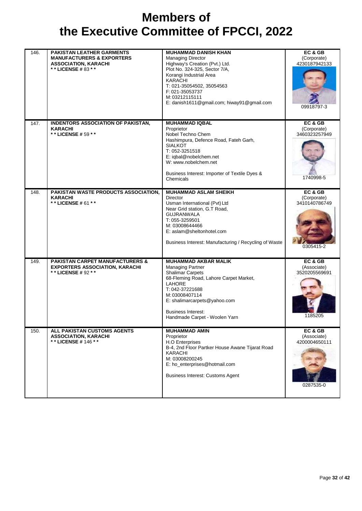| 146. | <b>PAKISTAN LEATHER GARMENTS</b><br><b>MANUFACTURERS &amp; EXPORTERS</b><br><b>ASSOCIATION, KARACHI</b><br>** LICENSE #83 ** | <b>MUHAMMAD DANISH KHAN</b><br><b>Managing Director</b><br>Highway's Creation (Pvt.) Ltd.<br>Plot No. 324-325, Sector 7/A,<br>Korangi Industrial Area<br><b>KARACHI</b><br>T: 021-35054502, 35054563<br>F: 021-35053737<br>M: 03212115111<br>E: danish1611@gmail.com; hiway91@gmail.com | EC& GB<br>(Corporate)<br>4230187942133<br>09918797-3 |
|------|------------------------------------------------------------------------------------------------------------------------------|-----------------------------------------------------------------------------------------------------------------------------------------------------------------------------------------------------------------------------------------------------------------------------------------|------------------------------------------------------|
| 147. | <b>INDENTORS ASSOCIATION OF PAKISTAN,</b><br><b>KARACHI</b><br>** LICENSE # 59 **                                            | <b>MUHAMMAD IQBAL</b><br>Proprietor<br>Nobel Techno Chem<br>Hashimpura, Defence Road, Fateh Garh,<br><b>SIALKOT</b><br>T: 052-3251518<br>E: iqbal@nobelchem.net<br>W: www.nobelchem.net<br>Business Interest: Importer of Textile Dyes &<br>Chemicals                                   | EC & GB<br>(Corporate)<br>3460323257949<br>1740998-5 |
| 148. | PAKISTAN WASTE PRODUCTS ASSOCIATION,<br><b>KARACHI</b><br>** LICENSE # 61 **                                                 | <b>MUHAMMAD ASLAM SHEIKH</b><br>Director<br>Usman International (Pvt) Ltd<br>Near Grid station, G.T Road,<br><b>GUJRANWALA</b><br>T: 055-3259501<br>M: 03008644466<br>E: aslam@sheltonhotel.com<br>Business Interest: Manufacturing / Recycling of Waste                                | EC & GB<br>(Corporate)<br>3410140786749<br>0305415-2 |
| 149. | <b>PAKISTAN CARPET MANUFACTURERS &amp;</b><br><b>EXPORTERS ASSOCIATION, KARACHI</b><br>** LICENSE # 92 **                    | <b>MUHAMMAD AKBAR MALIK</b><br><b>Managing Partner</b><br><b>Shalimar Carpets</b><br>68-Fleming Road, Lahore Carpet Market,<br>LAHORE<br>T: 042-37221688<br>M: 03008407114<br>E: shalimarcarpets@yahoo.com<br><b>Business Interest:</b><br>Handmade Carpet - Woolen Yarn                | EC & GB<br>(Associate)<br>3520205569691<br>1185205   |
| 150. | <b>ALL PAKISTAN CUSTOMS AGENTS</b><br><b>ASSOCIATION, KARACHI</b><br>* * LICENSE # 146 * *                                   | <b>MUHAMMAD AMIN</b><br>Proprietor<br>H.O Enterprises<br>B-4, 2nd Floor Partker House Awane Tijarat Road<br><b>KARACHI</b><br>M: 03008200245<br>E: ho_enterprises@hotmail.com<br>Business Interest: Customs Agent                                                                       | EC & GB<br>(Associate)<br>4200004650111<br>0287535-0 |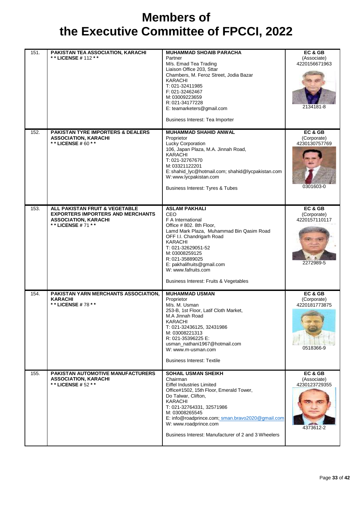| 151. | PAKISTAN TEA ASSOCIATION, KARACHI<br>** LICENSE # 112 **                                                                        | <b>MUHAMMAD SHOAIB PARACHA</b><br>Partner<br>M/s. Emad Tea Trading<br>Liaison Office 203, Sttar<br>Chambers, M. Feroz Street, Jodia Bazar<br><b>KARACHI</b><br>T: 021-32411985<br>F: 021-32462467<br>M: 03009223659<br>R: 021-34177228<br>E: teamarketers@gmail.com<br>Business Interest: Tea Importer                                     | EC& GB<br>(Associate)<br>4220156671963<br>2134181-8  |
|------|---------------------------------------------------------------------------------------------------------------------------------|--------------------------------------------------------------------------------------------------------------------------------------------------------------------------------------------------------------------------------------------------------------------------------------------------------------------------------------------|------------------------------------------------------|
| 152. | <b>PAKISTAN TYRE IMPORTERS &amp; DEALERS</b><br><b>ASSOCIATION, KARACHI</b><br>** LICENSE # 60 * *                              | <b>MUHAMMAD SHAHID ANWAL</b><br>Proprietor<br>Lucky Corporation<br>106, Japan Plaza, M.A. Jinnah Road,<br><b>KARACHI</b><br>T: 021-32767670<br>M: 03321122201<br>E: shahid_lyc@hotmail.com; shahid@lycpakistan.com<br>W: www.lycpakistan.com<br><b>Business Interest: Tyres &amp; Tubes</b>                                                | EC & GB<br>(Corporate)<br>4230130757769<br>0301603-0 |
| 153. | ALL PAKISTAN FRUIT & VEGETABLE<br><b>EXPORTERS IMPORTERS AND MERCHANTS</b><br><b>ASSOCIATION, KARACHI</b><br>** LICENSE # 71 ** | <b>ASLAM PAKHALI</b><br><b>CEO</b><br>F A International<br>Office #802. 8th Floor,<br>Lamd Mark Plaza, Muhammad Bin Qasim Road<br>OFF I.I. Chandrigarh Road<br><b>KARACHI</b><br>T: 021-32629051-52<br>M: 03008259125<br>R: 021-35889025<br>E: pakhalifruits@gmail.com<br>W: www.fafruits.com<br>Business Interest: Fruits & Vegetables    | EC & GB<br>(Corporate)<br>4220157110117<br>2272989-5 |
| 154. | PAKISTAN YARN MERCHANTS ASSOCIATION,<br><b>KARACHI</b><br>* * LICENSE # 78 * *                                                  | <b>MUHAMMAD USMAN</b><br>Proprietor<br>M/s. M. Usman<br>253-B, 1st Floor, Latif Cloth Market,<br>M.A Jinnah Road<br>KARACHI<br>T: 021-32436125, 32431986<br>M: 03008221313<br>R: 021-35396225 E:<br>usman_nathani1967@hotmail.com<br>W: www.m-usman.com<br><b>Business Interest: Textile</b>                                               | EC & GB<br>(Corporate)<br>4220181773875<br>0518366-9 |
| 155. | <b>PAKISTAN AUTOMOTIVE MANUFACTURERS</b><br><b>ASSOCIATION, KARACHI</b><br>* * LICENSE # 52 * *                                 | <b>SOHAIL USMAN SHEIKH</b><br>Chairman<br>Eiffel Industries Limited<br>Office#1502, 15th Floor, Emerald Tower,<br>Do Talwar, Clifton,<br><b>KARACHI</b><br>T: 021-32764331, 32571986<br>M: 03008265545<br>E: info@roadprince.com; sman.bravo2020@gmail.com<br>W: www.roadprince.com<br>Business Interest: Manufacturer of 2 and 3 Wheelers | EC & GB<br>(Associate)<br>4230123729355<br>4373612-2 |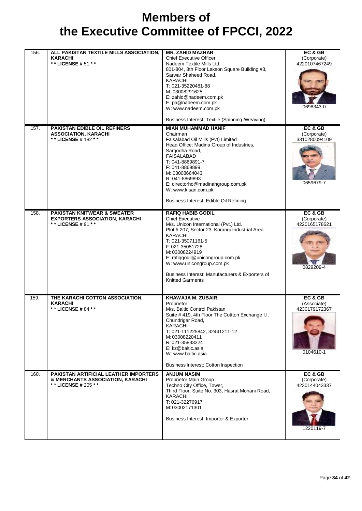| 156. | ALL PAKISTAN TEXTILE MILLS ASSOCIATION,<br><b>KARACHI</b><br>** LICENSE # 51 **                         | <b>MR. ZAHID MAZHAR</b><br><b>Chief Executive Officer</b><br>Nadeem Textile Mills Ltd.<br>801-804, 8th Floor Lakson Square Building #3,<br>Sarwar Shaheed Road,<br><b>KARACHI</b><br>T: 021-35220481-88<br>M: 03008291625<br>E: zahid@nadeem.com.pk<br>E. pa@nadeem.com.pk<br>W: www.nadeem.com.pk<br>Business Interest: Textile (Spinning /Weaving)                    | EC & GB<br>(Corporate)<br>4220107467249<br>0698343-0 |
|------|---------------------------------------------------------------------------------------------------------|-------------------------------------------------------------------------------------------------------------------------------------------------------------------------------------------------------------------------------------------------------------------------------------------------------------------------------------------------------------------------|------------------------------------------------------|
| 157. | <b>PAKISTAN EDIBLE OIL REFINERS</b><br><b>ASSOCIATION, KARACHI</b><br>** LICENSE # 182 **               | <b>MIAN MUHAMMAD HANIF</b><br>Chairman<br>Faisalabad Oil Mills (Pvt) Limited<br>Head Office: Madina Group of Industries,<br>Sargodha Road,<br><b>FAISALABAD</b><br>T: 041-8869891-7<br>F: 041-8869899<br>M: 03008664043<br>R: 041-8869893<br>E: directorho@madinahgroup.com.pk<br>W: www.kisan.com.pk<br>Business Interest: Edible Oil Refining                         | EC & GB<br>(Corporate)<br>3310280094109<br>0659679-7 |
| 158. | <b>PAKISTAN KNITWEAR &amp; SWEATER</b><br><b>EXPORTERS ASSOCIATION, KARACHI</b><br>** LICENSE # 91 **   | <b>RAFIQ HABIB GODIL</b><br><b>Chief Executive</b><br>M/s. Unicon International (Pvt.) Ltd.<br>Plot #207, Sector 23, Korangi Industrial Area<br><b>KARACHI</b><br>T: 021-35071161-5<br>F: 021-35051728<br>M: 03008224919<br>E: rafiqgodil@unicongroup.com.pk<br>W: www.unicongroup.com.pk<br>Business Interest: Manufacturers & Exporters of<br><b>Knitted Garments</b> | EC & GB<br>(Corporate)<br>4220165178621<br>0829209-4 |
| 159. | THE KARACHI COTTON ASSOCIATION,<br><b>KARACHI</b><br>* * LICENSE # 84 * *                               | <b>KHAWAJA M. ZUBAIR</b><br>Proprietor<br>M/s. Baltic Control Pakistan<br>Suite # 419, 4th Floor The Cottton Exchange I.I.<br>Chundrigar Road,<br><b>KARACHI</b><br>T: 021-111225842, 32441211-12<br>M: 03008220411<br>R: 021-35833224<br>E: kz@baltic.asia<br>W: www.baitic.asia<br>Business Interest: Cotton Inspection                                               | EC & GB<br>(Associate)<br>4230179172367<br>0104610-1 |
| 160. | <b>PAKISTAN ARTIFICIAL LEATHER IMPORTERS</b><br>& MERCHANTS ASSOCIATION, KARACHI<br>** LICENSE # 205 ** | <b>ANJUM NASIM</b><br>Proprietor Main Group<br>Techno City Office, Tower,<br>Third Floor, Suite No. 303, Hasrat Mohani Road,<br><b>KARACHI</b><br>T: 021-32276917<br>M: 03002171301<br>Business Interest: Importer & Exporter                                                                                                                                           | EC & GB<br>(Corporate)<br>4230144043337<br>1220119-7 |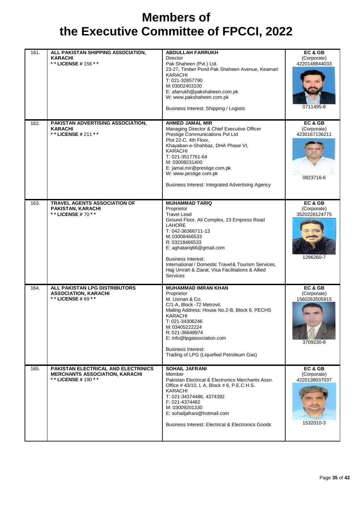| 161. | ALL PAKISTAN SHIPPING ASSOCIATION,<br><b>KARACHI</b><br>** LICENSE # 156 **                             | <b>ABDULLAH FARRUKH</b><br><b>Director</b><br>Pak Shaheen (Pvt.) Ltd.<br>23-27, Timber Pond Pak Shaheen Avenue, Keamari<br><b>KARACHI</b><br>T: 021-32857790<br>M: 03002403100<br>E: afarrukh@pakshaheen.com.pk<br>W: www.pakshaheen.com.pk<br>Business Interest: Shipping / Logistic                                                                                     | EC&GB<br>(Corporate)<br>4220148844033<br>0711495-8   |
|------|---------------------------------------------------------------------------------------------------------|---------------------------------------------------------------------------------------------------------------------------------------------------------------------------------------------------------------------------------------------------------------------------------------------------------------------------------------------------------------------------|------------------------------------------------------|
| 162. | PAKISTAN ADVERTISING ASSOCIATION,<br><b>KARACHI</b><br>** LICENSE # 211 **                              | <b>AHMED JAMAL MIR</b><br>Managing Director & Chief Executive Officer<br>Prestige Communications Pvt Ltd<br>Plot 22-C, 4th Floor,<br>Khayaban-e-Shahbaz, DHA Phase VI,<br><b>KARACHI</b><br>T: 021-3517761-64<br>M: 03008231400<br>E: jamal.mir@prestige.com.pk<br>W: www.pestige.com.pk<br>Business Interest: Integrated Advertising Agency                              | EC & GB<br>(Corporate)<br>4230167136211<br>0823716-6 |
| 163. | <b>TRAVEL AGENTS ASSOCIATION OF</b><br>PAKISTAN, KARACHI<br>* * LICENSE # 70 * *                        | <b>MUHAMMAD TARIQ</b><br>Proprietor<br><b>Travel Lead</b><br>Ground Floor, Ali Complex, 23 Empress Road<br><b>LAHORE</b><br>T: 042-36366711-13<br>M: 03008466533<br>R: 03218466533<br>E: aghatariq66@gmail.com<br><b>Business Interest:</b><br>International / Domestic Travel & Tourism Services,<br>Hajj Umrah & Ziarat, Visa Facilitations & Allied<br><b>Services</b> | EC & GB<br>(Corporate)<br>3520228124775<br>1296260-7 |
| 164. | ALL PAKISTAN LPG DISTRIBUTORS<br><b>ASSOCIATION, KARACHI</b><br>** LICENSE # 69 **                      | <b>MUHAMMAD IMRAN KHAN</b><br>Proprietor<br>M. Usman & Co.<br>C/1-A, Block -72 Metrovil,<br>Mailing Address: House No.2-B, Block 6, PECHS<br><b>KARACHI</b><br>T: 021-34306246<br>M: 03405222224<br>R: 021-36648974<br>E: info@lpgassociation.com<br><b>Business Interest:</b><br>Trading of LPG (Liquefied Petroleum Gas)                                                | EC & GB<br>(Corporate)<br>1560263505915<br>3709230-8 |
| 165. | <b>PAKISTAN ELECTRICAL AND ELECTRINICS</b><br><b>MERCHANTS ASSOCIATION, KARACHI</b><br>**LICENSE#190 ** | <b>SOHAIL JAFRANI</b><br>Member<br>Pakistan Electrical & Electronics Merchants Assn.<br>Office #43/10, L A, Block #6, P.E.C.H.S.<br>KARACHI<br>T: 021-34374486, 4374392<br>F: 021-4374482<br>M: 03009201330<br>E: sohailjafrani@hotmail.com<br><b>Business Interest: Electrical &amp; Electronics Goods</b>                                                               | EC & GB<br>(Corporate)<br>4220138037037<br>1532010-3 |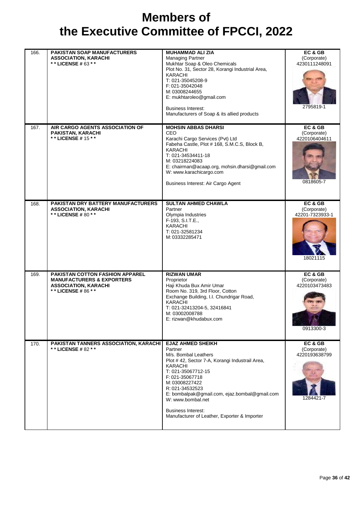| 166. | <b>PAKISTAN SOAP MANUFACTURERS</b><br><b>ASSOCIATION, KARACHI</b><br>** LICENSE # 63 **                                            | <b>MUHAMMAD ALI ZIA</b><br><b>Managing Partner</b><br>Mukhtar Soap & Oleo Chemicals<br>Plot No. 31, Sector 28, Korangi Industrial Area,<br><b>KARACHI</b><br>T: 021-35045208-9<br>F: 021-35042048<br>M: 03008244655<br>E: mukhtaroleo@gmail.com<br><b>Business Interest:</b><br>Manufacturers of Soap & its allied products                                      | EC & GB<br>(Corporate)<br>4230111248091<br>2795819-1  |
|------|------------------------------------------------------------------------------------------------------------------------------------|------------------------------------------------------------------------------------------------------------------------------------------------------------------------------------------------------------------------------------------------------------------------------------------------------------------------------------------------------------------|-------------------------------------------------------|
| 167. | AIR CARGO AGENTS ASSOCIATION OF<br>PAKISTAN, KARACHI<br>* * LICENSE # 15 * *                                                       | <b>MOHSIN ABBAS DHARSI</b><br><b>CEO</b><br>Karachi Cargo Services (Pvt) Ltd<br>Fabeha Castle, Plot # 168, S.M.C.S, Block B,<br><b>KARACHI</b><br>T: 021-34534411-18<br>M: 03218224083<br>E: chairman@acaap.org, mohsin.dharsi@gmail.com<br>W: www.karachicargo.com<br>Business Interest: Air Cargo Agent                                                        | EC & GB<br>(Corporate)<br>4220106404611<br>0818605-7  |
| 168. | PAKISTAN DRY BATTERY MANUFACTURERS<br><b>ASSOCIATION, KARACHI</b><br>* * LICENSE # 80 * *                                          | <b>SULTAN AHMED CHAWLA</b><br>Partner<br>Olympia Industries<br>F-193, S.I.T.E.,<br><b>KARACHI</b><br>T: 021-32581234<br>M: 03332285471                                                                                                                                                                                                                           | EC & GB<br>(Corporate)<br>42201-7323933-1<br>18021115 |
| 169. | <b>PAKISTAN COTTON FASHION APPAREL</b><br><b>MANUFACTURERS &amp; EXPORTERS</b><br><b>ASSOCIATION, KARACHI</b><br>** LICENSE #86 ** | <b>RIZWAN UMAR</b><br>Proprietor<br>Haji Khuda Bux Amir Umar<br>Room No. 319, 3rd Floor, Cotton<br>Exchange Building, I.I. Chundrigar Road,<br><b>KARACHI</b><br>T: 021-32413204-5, 32416841<br>M: 03002008788<br>E: rizwan@khudabux.com                                                                                                                         | EC & GB<br>(Corporate)<br>4220103473483<br>0913300-3  |
| 170. | <b>PAKISTAN TANNERS ASSOCIATION, KARACHI</b><br>* * LICENSE # 82 * *                                                               | <b>EJAZ AHMED SHEIKH</b><br>Partner<br>M/s. Bombal Leathers<br>Plot #42, Sector 7-A, Korangi Industrail Area,<br><b>KARACHI</b><br>T: 021-35067712-15<br>F: 021-35067718<br>M: 03008227422<br>R: 021-34532523<br>E: bombalpak@gmail.com, ejaz.bombal@gmail.com<br>W: www.bombal.net<br><b>Business Interest:</b><br>Manufacturer of Leather, Exporter & Importer | EC & GB<br>(Corporate)<br>4220193638799<br>1284421-7  |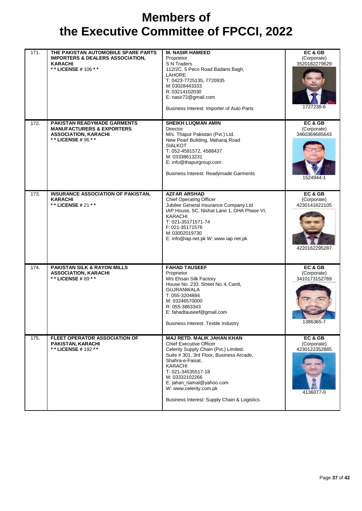| 171. | THE PAKISTAN AUTOMOBILE SPARE PARTS<br><b>IMPORTERS &amp; DEALERS ASSOCIATION,</b><br><b>KARACHI</b><br>** LICENSE # 106 **  | <b>M. NASIR HAMEED</b><br>Proprietor<br>S N Traders<br>112/2C. 5 Peco Road Badami Bagh,<br><b>LAHORE</b><br>T: 0423-7725135, 7720935<br>M: 03028443333<br>R: 03214102030<br>E: nasir72@gmail.com<br>Business Interest: Importer of Auto Parts                                                                                        | EC & GB<br>(Corporate)<br>3520182279629<br>1727238-6     |
|------|------------------------------------------------------------------------------------------------------------------------------|--------------------------------------------------------------------------------------------------------------------------------------------------------------------------------------------------------------------------------------------------------------------------------------------------------------------------------------|----------------------------------------------------------|
| 172. | <b>PAKISTAN READYMADE GARMENTS</b><br><b>MANUFACTURERS &amp; EXPORTERS</b><br><b>ASSOCIATION, KARACHI</b><br>**LICENSE#96 ** | <b>SHEIKH LUQMAN AMIN</b><br>Director<br>M/s. Thapur Pakistan (Pvt.) Ltd.<br>New Pearl Building, Maharaj Road<br><b>SIALKOT</b><br>T: 052-4591572, 4588437<br>M: 03338613231<br>E: info@thapurgroup.com<br><b>Business Interest: Readymade Garments</b>                                                                              | EC& GB<br>(Corporate)<br>3460369685643<br>1524944-1      |
| 173. | INSURANCE ASSOCIATION OF PAKISTAN,<br><b>KARACHI</b><br>** LICENSE # 21 **                                                   | <b>AZFAR ARSHAD</b><br><b>Chief Operating Officer</b><br>Jubilee General Insurance Company Ltd<br>IAP House, 5C, Nishat Lane 1, DHA Phase VI,<br><b>KARACHI</b><br>T: 021-35171571-74<br>F: 021-35171576<br>M: 03002019730<br>E: info@iap.net.pk W: www.iap.net.pk                                                                   | EC & GB<br>(Corporate)<br>4230141622105<br>4220162295287 |
| 174. | <b>PAKISTAN SILK &amp; RAYON MILLS</b><br><b>ASSOCIATION, KARACHI</b><br>** LICENSE #89 **                                   | <b>FAHAD TAUSEEF</b><br>Proprietor<br>M/s Ehsan Silk Factory<br>House No. 233. Street No. 4, Cantt,<br><b>GUJRANWALA</b><br>T: 055-3204884<br>M: 03246570000<br>R: 055-3863343<br>E: fahadtauseef@gmail.com<br><b>Business Interest: Textile Industry</b>                                                                            | EC & GB<br>(Corporate)<br>3410173152769<br>1386365-7     |
| 175. | FLEET OPERATOR ASSOCIATION OF<br>PAKISTAN, KARACHI<br>* * LICENSE # 192 * *                                                  | <b>MAJ RETD. MALIK JAHAN KHAN</b><br><b>Chief Executive Officer</b><br>Celerity Supply Chain (Pvt.) Limited.<br>Suite # 301, 3rd Floor, Business Arcade,<br>Shahra-e-Faisal,<br>KARACHI<br>T: 021-34535517-18<br>M: 03332102266<br>E: jahan_namal@yahoo.com<br>W: www.celerity.com.pk<br>Business Interest: Supply Chain & Logistics | EC & GB<br>(Corporate)<br>4230122352885<br>4136077-0     |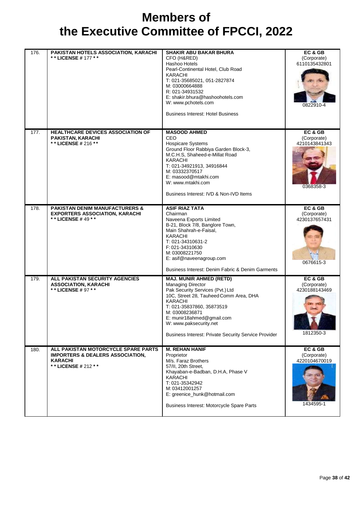| 176. | PAKISTAN HOTELS ASSOCIATION, KARACHI<br>** LICENSE # 177 **                                                                 | <b>SHAKIR ABU BAKAR BHURA</b><br>CFO (H&RED)<br>Hashoo Hotels<br>Pearl-Continental Hotel, Club Road<br><b>KARACHI</b><br>T: 021-35685021, 051-2827874<br>M: 03000664888<br>R: 021-34931532<br>E: shakir.bhura@hashoohotels.com<br>W: www.pchotels.com<br><b>Business Interest: Hotel Business</b>                 | EC & GB<br>(Corporate)<br>6110135432801<br>0822910-4 |
|------|-----------------------------------------------------------------------------------------------------------------------------|-------------------------------------------------------------------------------------------------------------------------------------------------------------------------------------------------------------------------------------------------------------------------------------------------------------------|------------------------------------------------------|
| 177. | <b>HEALTHCARE DEVICES ASSOCIATION OF</b><br><b>PAKISTAN, KARACHI</b><br>** LICENSE # 216 **                                 | <b>MASOOD AHMED</b><br>CEO.<br>Hospicare Systems<br>Ground Floor Rabbiya Garden Block-3,<br>M.C.H.S, Shaheed-e-Millat Road<br>KARACHI<br>T: 021-34921913, 34916844<br>M: 03332370517<br>E: masood@mtakhi.com<br>W: www.mtakhi.com<br>Business Interest: IVD & Non-IVD Items                                       | EC & GB<br>(Corporate)<br>4210143841343<br>0368358-3 |
| 178. | <b>PAKISTAN DENIM MANUFACTURERS &amp;</b><br><b>EXPORTERS ASSOCIATION, KARACHI</b><br>** LICENSE #49 **                     | <b>ASIF RIAZ TATA</b><br>Chairman<br>Naveena Exports Limited<br>B-21, Block 7/8, Banglore Town,<br>Main Shahrah-e-Faisal,<br><b>KARACHI</b><br>T: 021-34310631-2<br>F: 021-34310630<br>M: 03008221750<br>E: asif@naveenagroup.com<br>Business Interest: Denim Fabric & Denim Garments                             | EC & GB<br>(Corporate)<br>4230137657431<br>0676615-3 |
| 179. | ALL PAKISTAN SECURITY AGENCIES<br><b>ASSOCIATION, KARACHI</b><br>* * LICENSE # 97 * *                                       | <b>MAJ. MUNIR AHMED (RETD)</b><br><b>Managing Director</b><br>Pak Security Services (Pvt.) Ltd<br>10C, Street 28, Tauheed Comm Area, DHA<br>KARACHI<br>T: 021-35837860, 35873519<br>M: 03008236871<br>E: munir18ahmed@gmail.com<br>W: www.paksecurity.net<br>Business Interest: Private Security Service Provider | EC & GB<br>(Corporate)<br>4230188143469<br>1812350-3 |
| 180. | ALL PAKISTAN MOTORCYCLE SPARE PARTS<br><b>IMPORTERS &amp; DEALERS ASSOCIATION,</b><br><b>KARACHI</b><br>** LICENSE # 212 ** | <b>M. REHAN HANIF</b><br>Proprietor<br>M/s. Faraz Brothers<br>57/II, 20th Street,<br>Khayaban-e-Badban, D.H.A, Phase V<br><b>KARACHI</b><br>T: 021-35342942<br>M: 03412001257<br>E: greenice_hunk@hotmail.com<br>Business Interest: Motorcycle Spare Parts                                                        | EC & GB<br>(Corporate)<br>4220104670019<br>1434595-1 |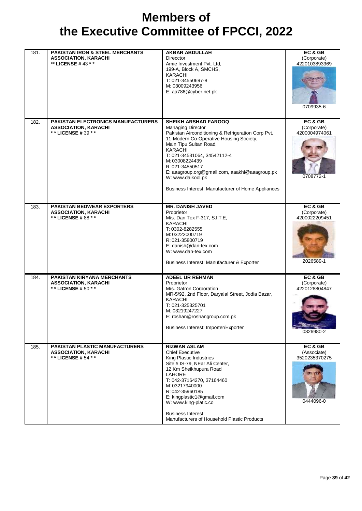| 181.               | PAKISTAN IRON & STEEL MERCHANTS<br><b>ASSOCIATION, KARACHI</b><br>** LICENSE #43 * *       | <b>AKBAR ABDULLAH</b><br><b>Direcctor</b><br>Amie Investment Pvt. Ltd.<br>199-A, Block A, SMCHS,<br><b>KARACHI</b><br>T: 021-34550697-8<br>M: 03009243956<br>E: aa786@cyber.net.pk                                                                                                                                                                                                                   | EC & GB<br>(Corporate)<br>4220103893369<br>0709935-6 |
|--------------------|--------------------------------------------------------------------------------------------|------------------------------------------------------------------------------------------------------------------------------------------------------------------------------------------------------------------------------------------------------------------------------------------------------------------------------------------------------------------------------------------------------|------------------------------------------------------|
| 182.               | PAKISTAN ELECTRONICS MANUFACTURERS<br><b>ASSOCIATION, KARACHI</b><br>** LICENSE #39 **     | <b>SHEIKH ARSHAD FAROOQ</b><br><b>Managing Director</b><br>Pakistan Airconditioning & Refrigeration Corp Pvt.<br>11-Modern Co-Operative Housing Society,<br>Main Tipu Sultan Road,<br><b>KARACHI</b><br>T: 021-34531064, 34542112-4<br>M: 03008224439<br>R: 021-34550517<br>E: aaagroup.org@gmail.com, aaakhi@aaagroup.pk<br>W: www.daikool.pk<br>Business Interest: Manufacturer of Home Appliances | EC&GB<br>(Corporate)<br>4200004974061<br>0708772-1   |
| 183.               | <b>PAKISTAN BEDWEAR EXPORTERS</b><br><b>ASSOCIATION, KARACHI</b><br>** LICENSE #88 **      | <b>MR. DANISH JAVED</b><br>Proprietor<br>M/s. Dan Tex F-317, S.I.T.E,<br><b>KARACHI</b><br>T: 0302-8282555<br>M: 03222000719<br>R: 021-35800719<br>E: danish@dan-tex.com<br>W: www.dan-tex.com<br>Business Interest: Manufacturer & Exporter                                                                                                                                                         | EC & GB<br>(Corporate)<br>4200022209451<br>2026589-1 |
| 184.               | <b>PAKISTAN KIRYANA MERCHANTS</b><br><b>ASSOCIATION, KARACHI</b><br>* * LICENSE # 50 * *   | <b>ADEEL UR REHMAN</b><br>Proprietor<br>M/s. Gatron Corporation<br>MR-5/92, 2nd Floor, Daryalal Street, Jodia Bazar,<br>KARACHI<br>T: 021-325325701<br>M: 03219247227<br>E: roshan@roshangroup.com.pk<br>Business Interest: Importer/Exporter                                                                                                                                                        | EC & GB<br>(Corporate)<br>4220128804847<br>0826980-2 |
| $\overline{185}$ . | <b>PAKISTAN PLASTIC MANUFACTURERS</b><br><b>ASSOCIATION, KARACHI</b><br>** LICENSE # 54 ** | <b>RIZWAN ASLAM</b><br><b>Chief Executive</b><br>King Plastic Industries<br>Site # IS-79, NEar Ali Center,<br>12 Km Sheikhupura Road<br>LAHORE<br>T: 042-37164270, 37164460<br>M: 03217940000<br>R: 042-35960185<br>E: kingplastic1@gmail.com<br>W: www.king-platic.co<br><b>Business Interest:</b><br>Manufacturers of Household Plastic Products                                                   | EC & GB<br>(Associate)<br>3520235370275<br>0444096-0 |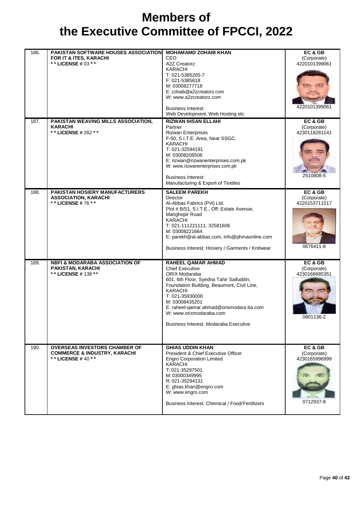| 186. | <b>PAKISTAN SOFTWARE HOUSES ASSOCIATION</b><br>FOR IT & ITES, KARACHI<br>** LICENSE # 03 * *         | <b>MOHAMAMD ZOHAIB KHAN</b><br><b>CEO</b><br>A2Z Creatorz<br>KARACHI<br>T: 021-5385205-7<br>F: 021-5385618<br>M: 03008277718<br>E: zohaib@a2zcreators.com<br>W: www.a2zcreatorz.com<br><b>Business Interest:</b><br>Web Development, Web Hosting etc                                                                         | EC & GB<br>(Corporate)<br>4220101399061<br>4220101399061 |
|------|------------------------------------------------------------------------------------------------------|------------------------------------------------------------------------------------------------------------------------------------------------------------------------------------------------------------------------------------------------------------------------------------------------------------------------------|----------------------------------------------------------|
| 187. | PAKISTAN WEAVING MILLS ASSOCIATION,<br><b>KARACHI</b><br>** LICENSE # 262 **                         | <b>RIZWAN IHSAN ELLAHI</b><br>Partner<br><b>Rizwan Enterprises</b><br>F-50, S.I.T.E. Area, Near SSGC,<br><b>KARACHI</b><br>T: 021-32594191<br>M: 03008206506<br>E: rizwan@rizwanenterprises.com.pk<br>W: www.rizwanenterprises.com.pk<br><b>Business Interest:</b><br>Manufacturing & Export of Textiles                     | EC & GB<br>(Corporate)<br>4230118281141<br>2510808-5     |
| 188. | PAKISTAN HOSIERY MANUFACTURERS<br><b>ASSOCIATION, KARACHI</b><br>** LICENSE #76 **                   | <b>SALEEM PAREKH</b><br><b>Director</b><br>Al-Abbas Fabrics (Pvt) Ltd.<br>Plot # B/51, S.I.T.E., Off: Estate Avenue,<br>Manghopir Road<br>KARACHI<br>T: 021-111221111, 32581606<br>M: 03008221664<br>E: parekh@al-abbas.com, info@phmaonline.com<br>Business Interest: Hosiery / Garments / Knitwear                         | EC & GB<br>(Corporate)<br>4220153711517<br>0676411-8     |
| 189. | <b>NBFI &amp; MODARABA ASSOCIATION OF</b><br><b>PAKISTAN, KARACHI</b><br>** LICENSE # 138 **         | RAHEEL QAMAR AHMAD<br><b>Chief Executive</b><br>ORIX Modaraba<br>601, 6th Floor, Syedna Tahir Saifuddin,<br>Foundation Building, Beaumont, Civil Line,<br><b>KARACHI</b><br>T: 021-35930000<br>M: 03008435201<br>E: raheel-qamar.ahmad@orixmodara ba.com<br>W: www.orixmodaraba.com<br>Business Interest: Modaraba Executive | EC & GB<br>(Corporate)<br>4230166685351<br>0801136-2     |
| 190. | <b>OVERSEAS INVESTORS CHAMBER OF</b><br><b>COMMERCE &amp; INDUSTRY, KARACHI</b><br>** LICENSE #40 ** | <b>GHIAS UDDIN KHAN</b><br>President & Chief Executive Officer<br><b>Engro Corporation Limited</b><br><b>KARACHI</b><br>T: 021-35297501<br>M: 03000349995<br>R: 021-35294131<br>E: ghias.khan@engro.com<br>W: www.engro.com<br>Business Interest: Chemical / Food/Fertilizers                                                | EC & GB<br>(Corporate)<br>4230165996999<br>0712937-8     |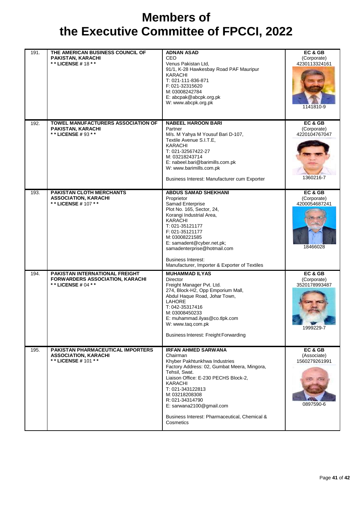| 191. | THE AMERICAN BUSINESS COUNCIL OF<br>PAKISTAN, KARACHI<br>** LICENSE # 18 **                           | <b>ADNAN ASAD</b><br>CEO.<br>Venus Pakistan Ltd,<br>91/1, K-28 Hawkesbay Road PAF Mauripur<br><b>KARACHI</b><br>T: 021-111-836-871<br>F: 021-32315620<br>M: 03008242784<br>E: abcpak@abcpk.org.pk<br>W: www.abcpk.org.pk                                                                                                                             | EC & GB<br>(Corporate)<br>4230113324161<br>1141810-9 |
|------|-------------------------------------------------------------------------------------------------------|------------------------------------------------------------------------------------------------------------------------------------------------------------------------------------------------------------------------------------------------------------------------------------------------------------------------------------------------------|------------------------------------------------------|
| 192. | <b>TOWEL MANUFACTURERS ASSOCIATION OF</b><br>PAKISTAN, KARACHI<br>* * LICENSE # 93 * *                | <b>NABEEL HAROON BARI</b><br>Partner<br>M/s. M Yahya M Yousuf Bari D-107,<br>Textile Avenue S.I.T.E,<br><b>KARACHI</b><br>T: 021-32567422-27<br>M: 03218243714<br>E: nabeel.bari@barimills.com.pk<br>W: www.barimills.com.pk<br>Business Interest: Manufacturer cum Exporter                                                                         | EC & GB<br>(Corporate)<br>4220104767047<br>1360216-7 |
| 193. | <b>PAKISTAN CLOTH MERCHANTS</b><br><b>ASSOCIATION, KARACHI</b><br>* * LICENSE # 107 * *               | <b>ABDUS SAMAD SHEKHANI</b><br>Proprietor<br>Samad Enterprise<br>Plot No. 165, Sector, 24,<br>Korangi Industrial Area,<br><b>KARACHI</b><br>T: 021-35121177<br>F: 021-35121177<br>M: 03008221585<br>E: samadent@cyber.net.pk;<br>samadenterprise@hotmail.com<br><b>Business Interest:</b><br>Manufacturer, Importer & Exporter of Textiles           | EC & GB<br>(Corporate)<br>4200054687241<br>18466028  |
| 194. | <b>PAKISTAN INTERNATIONAL FREIGHT</b><br><b>FORWARDERS ASSOCIATION, KARACHI</b><br>** LICENSE # 04 ** | <b>MUHAMMAD ILYAS</b><br><b>Director</b><br>Freight Manager Pvt. Ltd.<br>274, Block-H2, Opp Emporium Mall,<br>Abdul Haque Road, Johar Town,<br><b>LAHORE</b><br>T: 042-35317416<br>M: 03008450233<br>E: muhammad.ilyas@co.tlpk.com<br>W: www.taq.com.pk<br>Business Interest: Freight Forwarding                                                     | EC & GB<br>(Corporate)<br>3520178993487<br>1999229-7 |
| 195. | <b>PAKISTAN PHARMACEUTICAL IMPORTERS</b><br><b>ASSOCIATION, KARACHI</b><br>** LICENSE # 101 **        | <b>IRFAN AHMED SARWANA</b><br>Chairman<br>Khyber Pakhtunkhwa Industries<br>Factory Address: 02, Gumbat Meera, Mingora,<br>Tehsil, Swat.<br>Liaison Office: E-230 PECHS Block-2.<br><b>KARACHI</b><br>T: 021-343122813<br>M: 03218208308<br>R: 021-34314790<br>E: sarwana2100@gmail.com<br>Business Interest: Pharmaceutical, Chemical &<br>Cosmetics | EC& GB<br>(Associate)<br>1560279261991<br>0897590-6  |